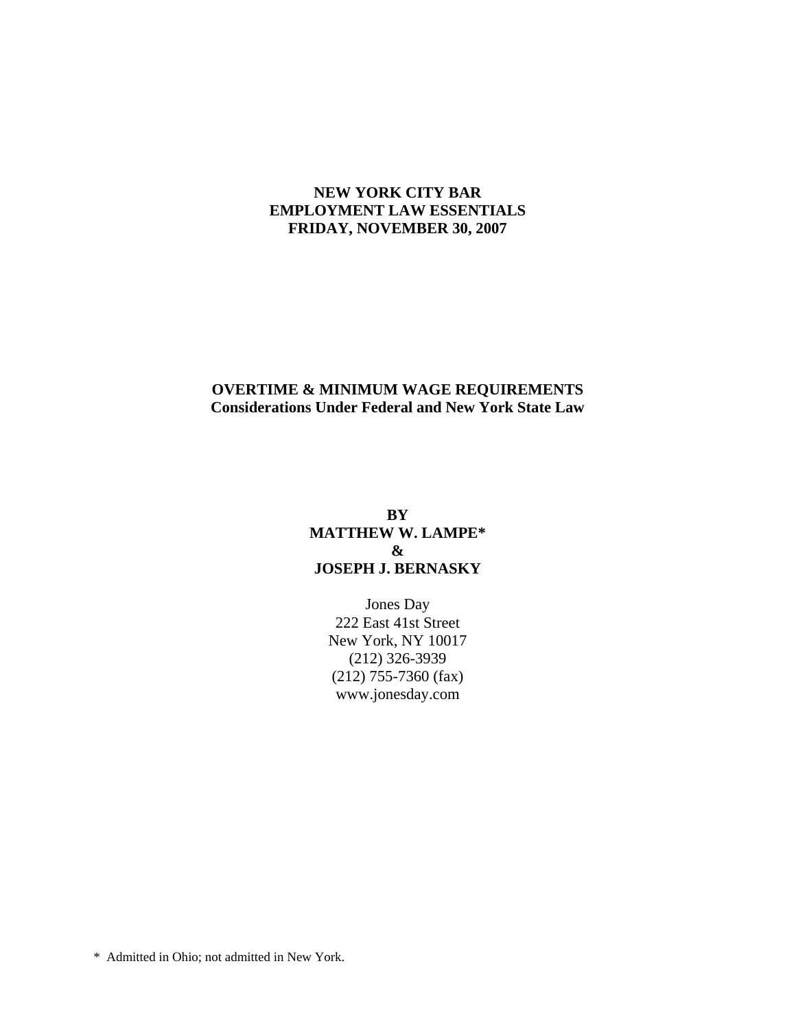#### **NEW YORK CITY BAR EMPLOYMENT LAW ESSENTIALS FRIDAY, NOVEMBER 30, 2007**

# **OVERTIME & MINIMUM WAGE REQUIREMENTS Considerations Under Federal and New York State Law**

#### **BY MATTHEW W. LAMPE\* & JOSEPH J. BERNASKY**

Jones Day 222 East 41st Street New York, NY 10017 (212) 326-3939 (212) 755-7360 (fax) www.jonesday.com

\* Admitted in Ohio; not admitted in New York.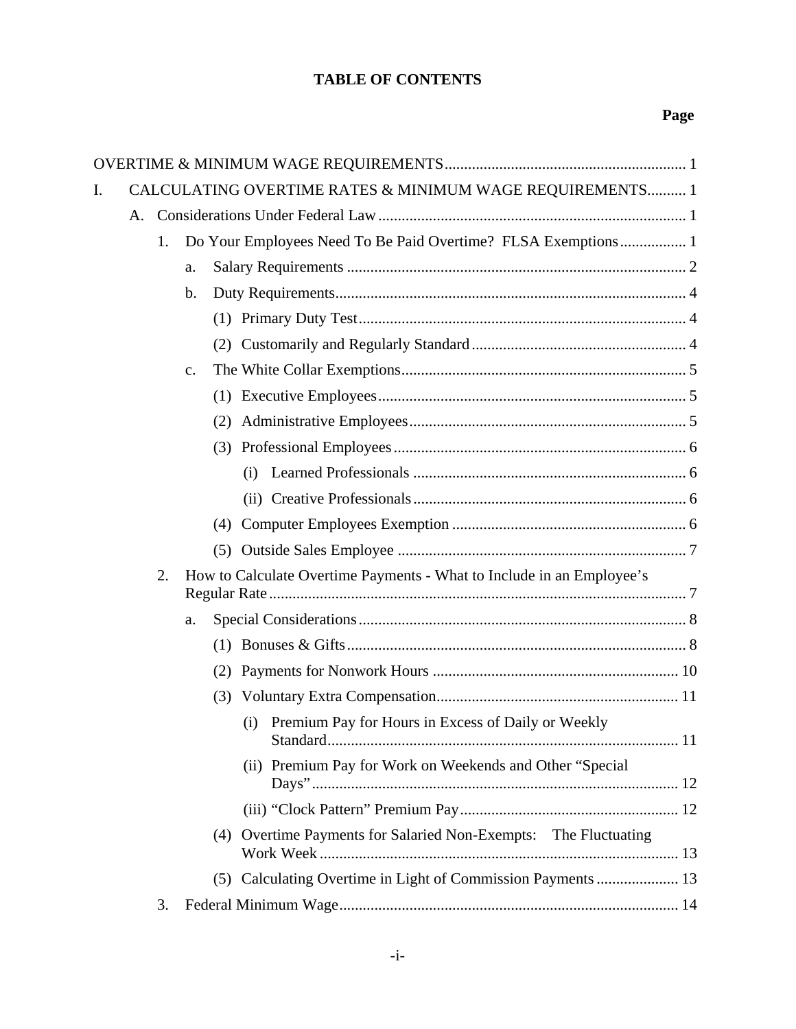# **TABLE OF CONTENTS**

# **Page**

| I. |    |    |               | CALCULATING OVERTIME RATES & MINIMUM WAGE REQUIREMENTS 1              |  |  |  |
|----|----|----|---------------|-----------------------------------------------------------------------|--|--|--|
|    | A. |    |               |                                                                       |  |  |  |
|    |    | 1. |               | Do Your Employees Need To Be Paid Overtime? FLSA Exemptions 1         |  |  |  |
|    |    |    | a.            |                                                                       |  |  |  |
|    |    |    | b.            |                                                                       |  |  |  |
|    |    |    |               |                                                                       |  |  |  |
|    |    |    |               | (2)                                                                   |  |  |  |
|    |    |    | $C_{\bullet}$ |                                                                       |  |  |  |
|    |    |    |               |                                                                       |  |  |  |
|    |    |    |               | (2)                                                                   |  |  |  |
|    |    |    |               | (3)                                                                   |  |  |  |
|    |    |    |               | (i)                                                                   |  |  |  |
|    |    |    |               |                                                                       |  |  |  |
|    |    |    |               | (4)                                                                   |  |  |  |
|    |    |    |               | (5)                                                                   |  |  |  |
|    |    | 2. |               | How to Calculate Overtime Payments - What to Include in an Employee's |  |  |  |
|    |    |    | a.            |                                                                       |  |  |  |
|    |    |    |               |                                                                       |  |  |  |
|    |    |    |               | (2)                                                                   |  |  |  |
|    |    |    |               | (3)                                                                   |  |  |  |
|    |    |    |               | Premium Pay for Hours in Excess of Daily or Weekly<br>(i)             |  |  |  |
|    |    |    |               | (ii) Premium Pay for Work on Weekends and Other "Special              |  |  |  |
|    |    |    |               |                                                                       |  |  |  |
|    |    |    |               | (4) Overtime Payments for Salaried Non-Exempts: The Fluctuating       |  |  |  |
|    |    |    |               | (5) Calculating Overtime in Light of Commission Payments  13          |  |  |  |
|    |    | 3. |               |                                                                       |  |  |  |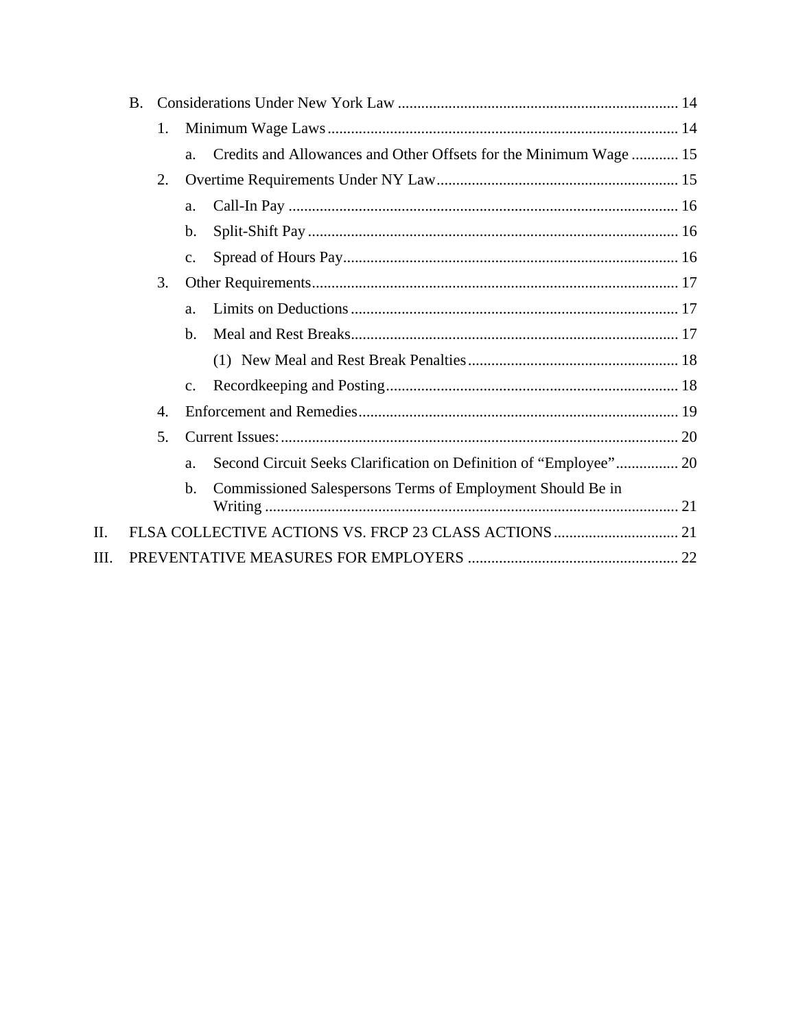|      | <b>B.</b> |    |                |                                                                   |  |  |  |
|------|-----------|----|----------------|-------------------------------------------------------------------|--|--|--|
|      |           | 1. |                |                                                                   |  |  |  |
|      |           |    | a.             | Credits and Allowances and Other Offsets for the Minimum Wage  15 |  |  |  |
|      |           | 2. |                |                                                                   |  |  |  |
|      |           |    | a.             |                                                                   |  |  |  |
|      |           |    | b.             |                                                                   |  |  |  |
|      |           |    | $\mathbf{c}$ . |                                                                   |  |  |  |
|      |           | 3. |                |                                                                   |  |  |  |
|      |           |    | a.             |                                                                   |  |  |  |
|      |           |    | b.             |                                                                   |  |  |  |
|      |           |    |                |                                                                   |  |  |  |
|      |           |    | $\mathbf{c}$ . |                                                                   |  |  |  |
|      |           | 4. |                |                                                                   |  |  |  |
|      |           | 5. |                |                                                                   |  |  |  |
|      |           |    | a.             | Second Circuit Seeks Clarification on Definition of "Employee" 20 |  |  |  |
|      |           |    | b.             | Commissioned Salespersons Terms of Employment Should Be in        |  |  |  |
| II.  |           |    |                |                                                                   |  |  |  |
| III. |           |    |                |                                                                   |  |  |  |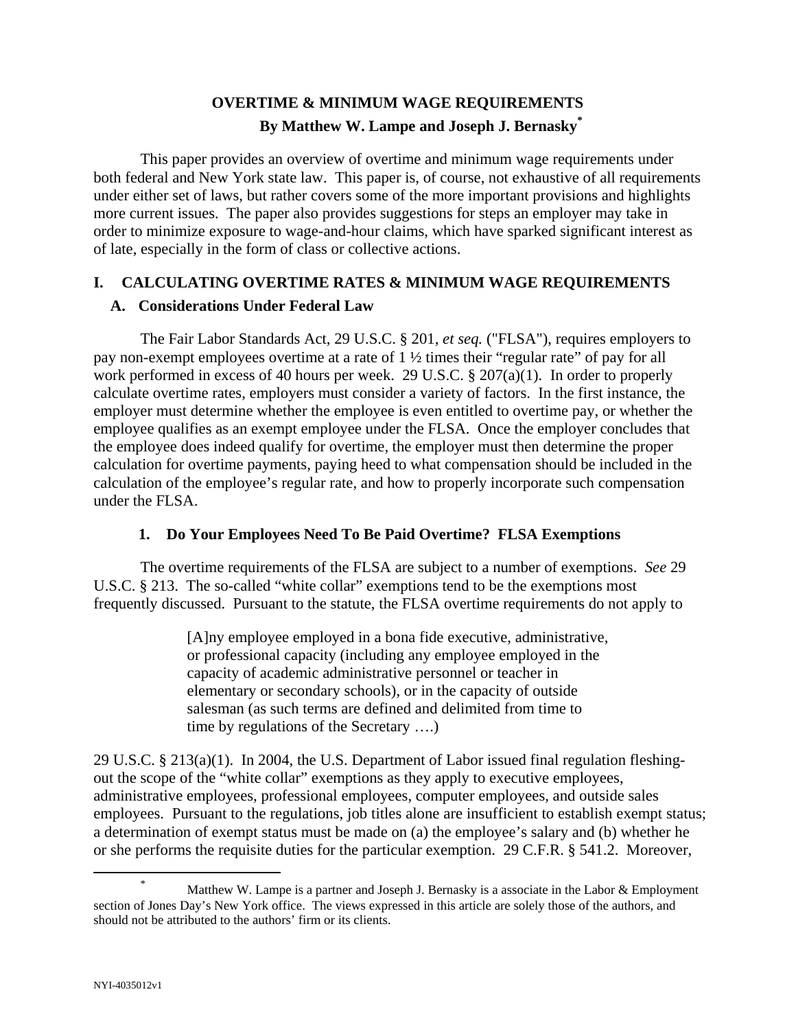# **OVERTIME & MINIMUM WAGE REQUIREMENTS By Matthew W. Lampe and Joseph J. Bernasky\***

This paper provides an overview of overtime and minimum wage requirements under both federal and New York state law. This paper is, of course, not exhaustive of all requirements under either set of laws, but rather covers some of the more important provisions and highlights more current issues. The paper also provides suggestions for steps an employer may take in order to minimize exposure to wage-and-hour claims, which have sparked significant interest as of late, especially in the form of class or collective actions.

# **I. CALCULATING OVERTIME RATES & MINIMUM WAGE REQUIREMENTS**

# **A. Considerations Under Federal Law**

The Fair Labor Standards Act, 29 U.S.C. § 201, *et seq.* ("FLSA"), requires employers to pay non-exempt employees overtime at a rate of 1 ½ times their "regular rate" of pay for all work performed in excess of 40 hours per week. 29 U.S.C. § 207(a)(1). In order to properly calculate overtime rates, employers must consider a variety of factors. In the first instance, the employer must determine whether the employee is even entitled to overtime pay, or whether the employee qualifies as an exempt employee under the FLSA. Once the employer concludes that the employee does indeed qualify for overtime, the employer must then determine the proper calculation for overtime payments, paying heed to what compensation should be included in the calculation of the employee's regular rate, and how to properly incorporate such compensation under the FLSA.

# **1. Do Your Employees Need To Be Paid Overtime? FLSA Exemptions**

The overtime requirements of the FLSA are subject to a number of exemptions. *See* 29 U.S.C. § 213. The so-called "white collar" exemptions tend to be the exemptions most frequently discussed. Pursuant to the statute, the FLSA overtime requirements do not apply to

> [A]ny employee employed in a bona fide executive, administrative, or professional capacity (including any employee employed in the capacity of academic administrative personnel or teacher in elementary or secondary schools), or in the capacity of outside salesman (as such terms are defined and delimited from time to time by regulations of the Secretary ….)

29 U.S.C. § 213(a)(1). In 2004, the U.S. Department of Labor issued final regulation fleshingout the scope of the "white collar" exemptions as they apply to executive employees, administrative employees, professional employees, computer employees, and outside sales employees. Pursuant to the regulations, job titles alone are insufficient to establish exempt status; a determination of exempt status must be made on (a) the employee's salary and (b) whether he or she performs the requisite duties for the particular exemption. 29 C.F.R. § 541.2. Moreover,

 <sup>\*</sup> Matthew W. Lampe is a partner and Joseph J. Bernasky is a associate in the Labor & Employment section of Jones Day's New York office. The views expressed in this article are solely those of the authors, and should not be attributed to the authors' firm or its clients.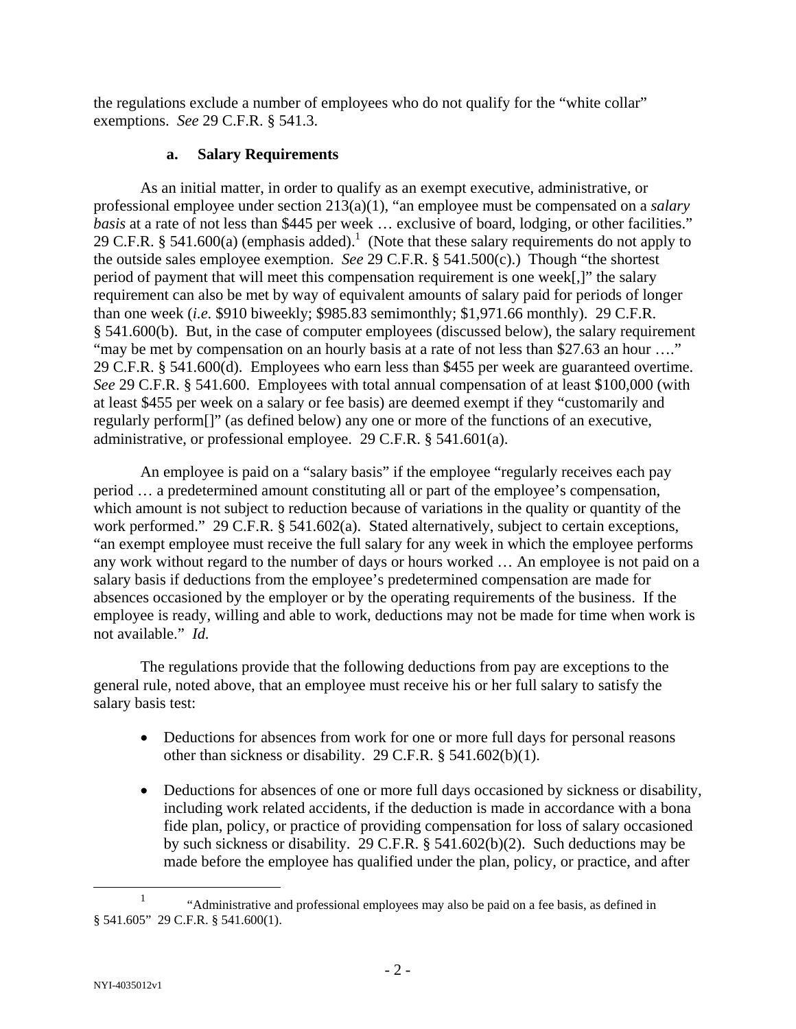the regulations exclude a number of employees who do not qualify for the "white collar" exemptions. *See* 29 C.F.R. § 541.3.

### **a. Salary Requirements**

As an initial matter, in order to qualify as an exempt executive, administrative, or professional employee under section 213(a)(1), "an employee must be compensated on a *salary basis* at a rate of not less than \$445 per week ... exclusive of board, lodging, or other facilities." 29 C.F.R. § 541.600(a) (emphasis added).<sup>1</sup> (Note that these salary requirements do not apply to the outside sales employee exemption. *See* 29 C.F.R. § 541.500(c).) Though "the shortest period of payment that will meet this compensation requirement is one week[,]" the salary requirement can also be met by way of equivalent amounts of salary paid for periods of longer than one week (*i.e.* \$910 biweekly; \$985.83 semimonthly; \$1,971.66 monthly). 29 C.F.R. § 541.600(b). But, in the case of computer employees (discussed below), the salary requirement "may be met by compensation on an hourly basis at a rate of not less than \$27.63 an hour ...." 29 C.F.R. § 541.600(d). Employees who earn less than \$455 per week are guaranteed overtime. *See* 29 C.F.R. § 541.600. Employees with total annual compensation of at least \$100,000 (with at least \$455 per week on a salary or fee basis) are deemed exempt if they "customarily and regularly perform[]" (as defined below) any one or more of the functions of an executive, administrative, or professional employee. 29 C.F.R. § 541.601(a).

An employee is paid on a "salary basis" if the employee "regularly receives each pay period … a predetermined amount constituting all or part of the employee's compensation, which amount is not subject to reduction because of variations in the quality or quantity of the work performed." 29 C.F.R. § 541.602(a). Stated alternatively, subject to certain exceptions, "an exempt employee must receive the full salary for any week in which the employee performs any work without regard to the number of days or hours worked … An employee is not paid on a salary basis if deductions from the employee's predetermined compensation are made for absences occasioned by the employer or by the operating requirements of the business. If the employee is ready, willing and able to work, deductions may not be made for time when work is not available." *Id.*

The regulations provide that the following deductions from pay are exceptions to the general rule, noted above, that an employee must receive his or her full salary to satisfy the salary basis test:

- Deductions for absences from work for one or more full days for personal reasons other than sickness or disability. 29 C.F.R. § 541.602(b)(1).
- Deductions for absences of one or more full days occasioned by sickness or disability, including work related accidents, if the deduction is made in accordance with a bona fide plan, policy, or practice of providing compensation for loss of salary occasioned by such sickness or disability. 29 C.F.R. § 541.602(b)(2). Such deductions may be made before the employee has qualified under the plan, policy, or practice, and after

<sup>&</sup>lt;u>1</u> <sup>1</sup> "Administrative and professional employees may also be paid on a fee basis, as defined in § 541.605" 29 C.F.R. § 541.600(1).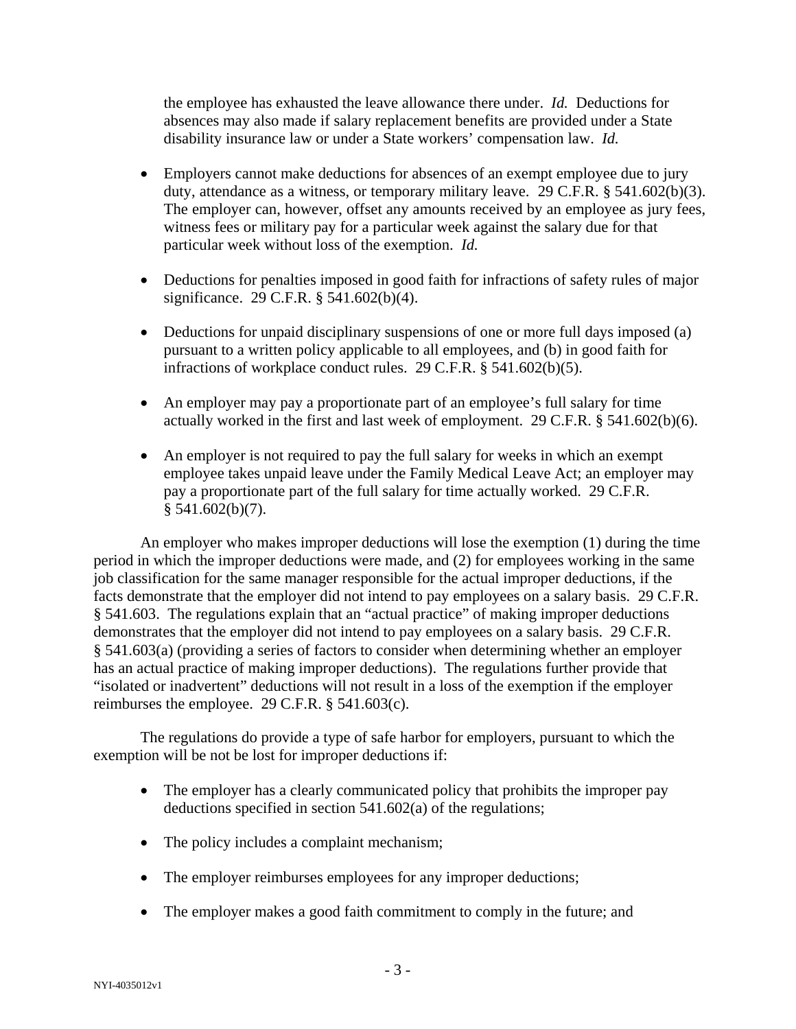the employee has exhausted the leave allowance there under. *Id.* Deductions for absences may also made if salary replacement benefits are provided under a State disability insurance law or under a State workers' compensation law. *Id.*

- Employers cannot make deductions for absences of an exempt employee due to jury duty, attendance as a witness, or temporary military leave. 29 C.F.R. § 541.602(b)(3). The employer can, however, offset any amounts received by an employee as jury fees, witness fees or military pay for a particular week against the salary due for that particular week without loss of the exemption. *Id.*
- Deductions for penalties imposed in good faith for infractions of safety rules of major significance. 29 C.F.R. § 541.602(b)(4).
- Deductions for unpaid disciplinary suspensions of one or more full days imposed (a) pursuant to a written policy applicable to all employees, and (b) in good faith for infractions of workplace conduct rules. 29 C.F.R. § 541.602(b)(5).
- An employer may pay a proportionate part of an employee's full salary for time actually worked in the first and last week of employment. 29 C.F.R. § 541.602(b)(6).
- An employer is not required to pay the full salary for weeks in which an exempt employee takes unpaid leave under the Family Medical Leave Act; an employer may pay a proportionate part of the full salary for time actually worked. 29 C.F.R.  $§ 541.602(b)(7).$

An employer who makes improper deductions will lose the exemption (1) during the time period in which the improper deductions were made, and (2) for employees working in the same job classification for the same manager responsible for the actual improper deductions, if the facts demonstrate that the employer did not intend to pay employees on a salary basis. 29 C.F.R. § 541.603. The regulations explain that an "actual practice" of making improper deductions demonstrates that the employer did not intend to pay employees on a salary basis. 29 C.F.R. § 541.603(a) (providing a series of factors to consider when determining whether an employer has an actual practice of making improper deductions). The regulations further provide that "isolated or inadvertent" deductions will not result in a loss of the exemption if the employer reimburses the employee. 29 C.F.R. § 541.603(c).

The regulations do provide a type of safe harbor for employers, pursuant to which the exemption will be not be lost for improper deductions if:

- The employer has a clearly communicated policy that prohibits the improper pay deductions specified in section 541.602(a) of the regulations;
- The policy includes a complaint mechanism;
- The employer reimburses employees for any improper deductions;
- The employer makes a good faith commitment to comply in the future; and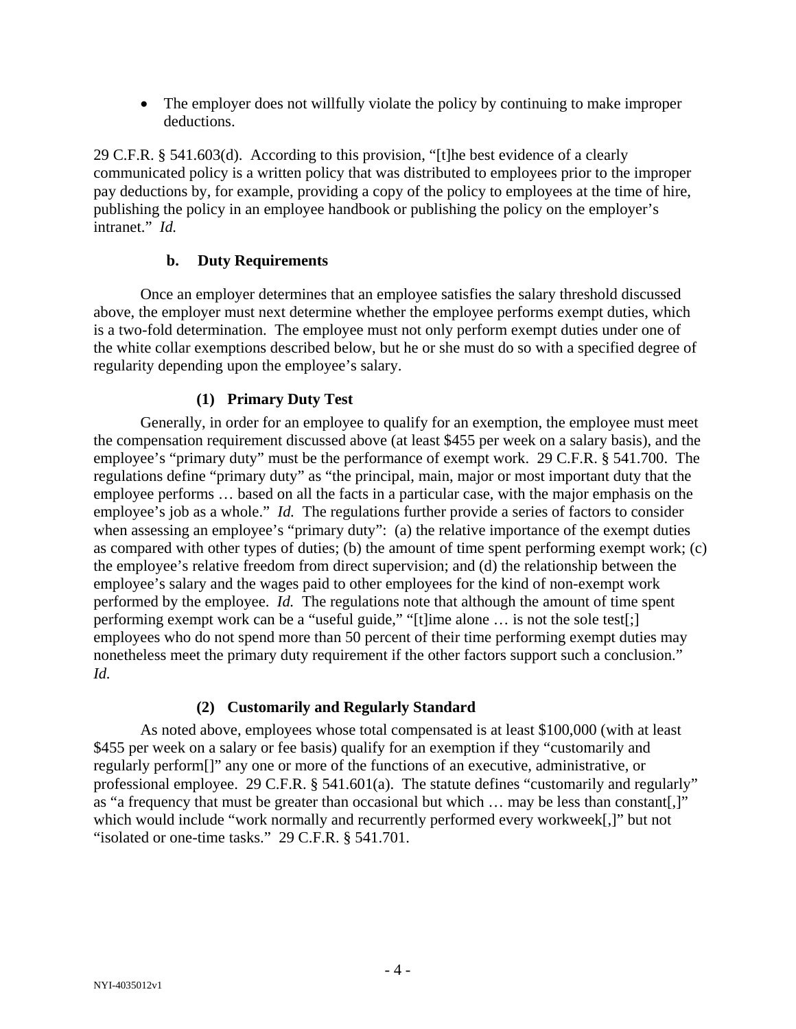• The employer does not willfully violate the policy by continuing to make improper deductions.

29 C.F.R. § 541.603(d). According to this provision, "[t]he best evidence of a clearly communicated policy is a written policy that was distributed to employees prior to the improper pay deductions by, for example, providing a copy of the policy to employees at the time of hire, publishing the policy in an employee handbook or publishing the policy on the employer's intranet." *Id.*

#### **b. Duty Requirements**

Once an employer determines that an employee satisfies the salary threshold discussed above, the employer must next determine whether the employee performs exempt duties, which is a two-fold determination. The employee must not only perform exempt duties under one of the white collar exemptions described below, but he or she must do so with a specified degree of regularity depending upon the employee's salary.

# **(1) Primary Duty Test**

Generally, in order for an employee to qualify for an exemption, the employee must meet the compensation requirement discussed above (at least \$455 per week on a salary basis), and the employee's "primary duty" must be the performance of exempt work. 29 C.F.R. § 541.700. The regulations define "primary duty" as "the principal, main, major or most important duty that the employee performs … based on all the facts in a particular case, with the major emphasis on the employee's job as a whole." *Id.* The regulations further provide a series of factors to consider when assessing an employee's "primary duty": (a) the relative importance of the exempt duties as compared with other types of duties; (b) the amount of time spent performing exempt work; (c) the employee's relative freedom from direct supervision; and (d) the relationship between the employee's salary and the wages paid to other employees for the kind of non-exempt work performed by the employee. *Id.* The regulations note that although the amount of time spent performing exempt work can be a "useful guide," "[t]ime alone … is not the sole test[;] employees who do not spend more than 50 percent of their time performing exempt duties may nonetheless meet the primary duty requirement if the other factors support such a conclusion." *Id.*

# **(2) Customarily and Regularly Standard**

As noted above, employees whose total compensated is at least \$100,000 (with at least \$455 per week on a salary or fee basis) qualify for an exemption if they "customarily and regularly perform[]" any one or more of the functions of an executive, administrative, or professional employee. 29 C.F.R. § 541.601(a). The statute defines "customarily and regularly" as "a frequency that must be greater than occasional but which … may be less than constant[,]" which would include "work normally and recurrently performed every workweek[,]" but not "isolated or one-time tasks." 29 C.F.R. § 541.701.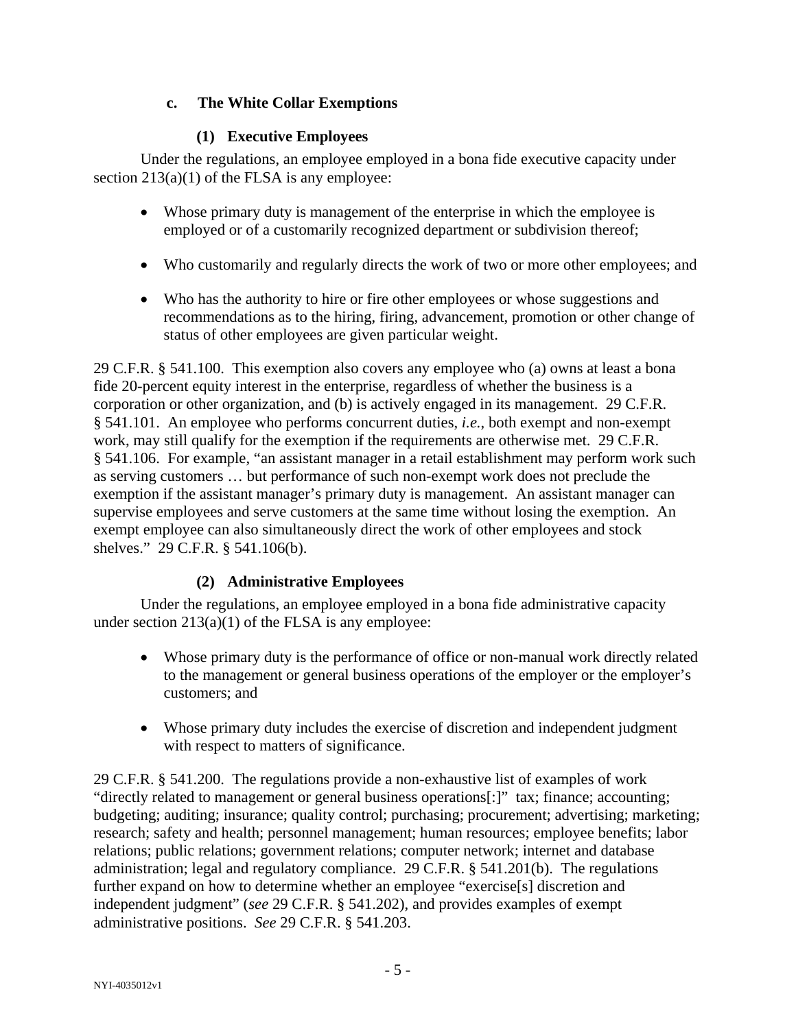# **c. The White Collar Exemptions**

# **(1) Executive Employees**

Under the regulations, an employee employed in a bona fide executive capacity under section 213(a)(1) of the FLSA is any employee:

- Whose primary duty is management of the enterprise in which the employee is employed or of a customarily recognized department or subdivision thereof;
- Who customarily and regularly directs the work of two or more other employees; and
- Who has the authority to hire or fire other employees or whose suggestions and recommendations as to the hiring, firing, advancement, promotion or other change of status of other employees are given particular weight.

29 C.F.R. § 541.100. This exemption also covers any employee who (a) owns at least a bona fide 20-percent equity interest in the enterprise, regardless of whether the business is a corporation or other organization, and (b) is actively engaged in its management. 29 C.F.R. § 541.101. An employee who performs concurrent duties, *i.e.*, both exempt and non-exempt work, may still qualify for the exemption if the requirements are otherwise met. 29 C.F.R. § 541.106. For example, "an assistant manager in a retail establishment may perform work such as serving customers … but performance of such non-exempt work does not preclude the exemption if the assistant manager's primary duty is management. An assistant manager can supervise employees and serve customers at the same time without losing the exemption. An exempt employee can also simultaneously direct the work of other employees and stock shelves." 29 C.F.R. § 541.106(b).

# **(2) Administrative Employees**

Under the regulations, an employee employed in a bona fide administrative capacity under section  $213(a)(1)$  of the FLSA is any employee:

- Whose primary duty is the performance of office or non-manual work directly related to the management or general business operations of the employer or the employer's customers; and
- Whose primary duty includes the exercise of discretion and independent judgment with respect to matters of significance.

29 C.F.R. § 541.200. The regulations provide a non-exhaustive list of examples of work "directly related to management or general business operations[:]" tax; finance; accounting; budgeting; auditing; insurance; quality control; purchasing; procurement; advertising; marketing; research; safety and health; personnel management; human resources; employee benefits; labor relations; public relations; government relations; computer network; internet and database administration; legal and regulatory compliance. 29 C.F.R. § 541.201(b). The regulations further expand on how to determine whether an employee "exercise[s] discretion and independent judgment" (*see* 29 C.F.R. § 541.202), and provides examples of exempt administrative positions. *See* 29 C.F.R. § 541.203.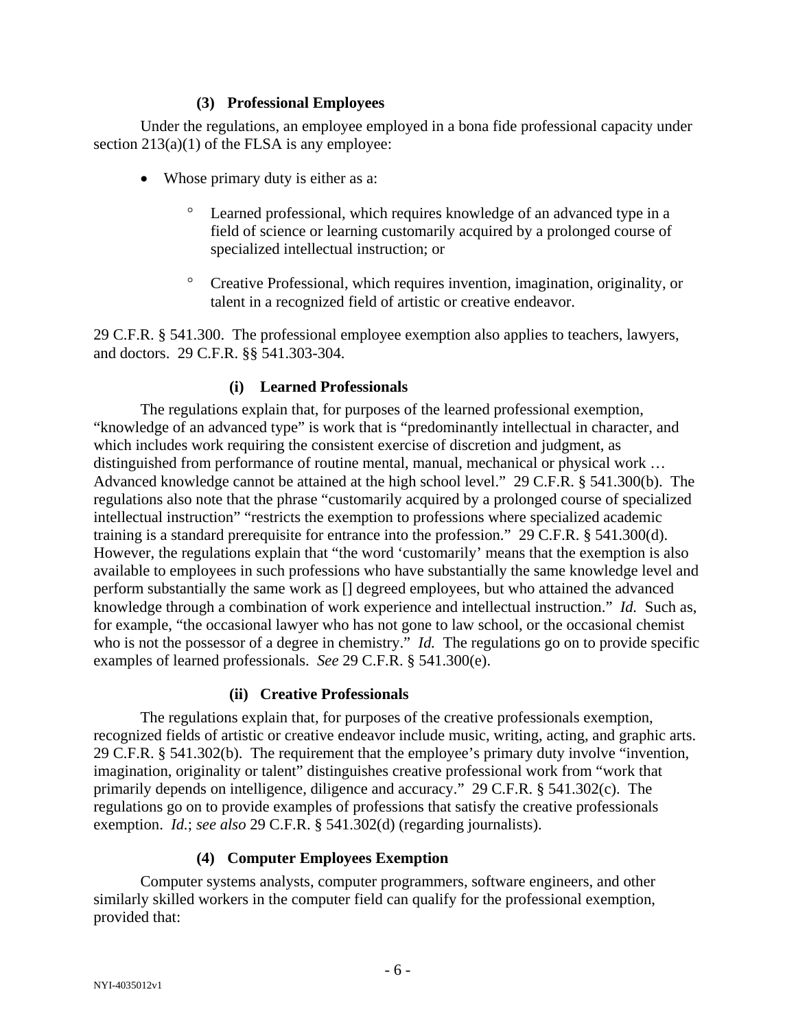#### **(3) Professional Employees**

Under the regulations, an employee employed in a bona fide professional capacity under section  $213(a)(1)$  of the FLSA is any employee:

- Whose primary duty is either as a:
	- Learned professional, which requires knowledge of an advanced type in a field of science or learning customarily acquired by a prolonged course of specialized intellectual instruction; or
	- ° Creative Professional, which requires invention, imagination, originality, or talent in a recognized field of artistic or creative endeavor.

29 C.F.R. § 541.300. The professional employee exemption also applies to teachers, lawyers, and doctors. 29 C.F.R. §§ 541.303-304.

# **(i) Learned Professionals**

The regulations explain that, for purposes of the learned professional exemption, "knowledge of an advanced type" is work that is "predominantly intellectual in character, and which includes work requiring the consistent exercise of discretion and judgment, as distinguished from performance of routine mental, manual, mechanical or physical work … Advanced knowledge cannot be attained at the high school level." 29 C.F.R. § 541.300(b). The regulations also note that the phrase "customarily acquired by a prolonged course of specialized intellectual instruction" "restricts the exemption to professions where specialized academic training is a standard prerequisite for entrance into the profession." 29 C.F.R. § 541.300(d). However, the regulations explain that "the word 'customarily' means that the exemption is also available to employees in such professions who have substantially the same knowledge level and perform substantially the same work as [] degreed employees, but who attained the advanced knowledge through a combination of work experience and intellectual instruction." *Id.* Such as, for example, "the occasional lawyer who has not gone to law school, or the occasional chemist who is not the possessor of a degree in chemistry." *Id.* The regulations go on to provide specific examples of learned professionals. *See* 29 C.F.R. § 541.300(e).

# **(ii) Creative Professionals**

The regulations explain that, for purposes of the creative professionals exemption, recognized fields of artistic or creative endeavor include music, writing, acting, and graphic arts. 29 C.F.R. § 541.302(b). The requirement that the employee's primary duty involve "invention, imagination, originality or talent" distinguishes creative professional work from "work that primarily depends on intelligence, diligence and accuracy." 29 C.F.R. § 541.302(c). The regulations go on to provide examples of professions that satisfy the creative professionals exemption. *Id.*; *see also* 29 C.F.R. § 541.302(d) (regarding journalists).

# **(4) Computer Employees Exemption**

Computer systems analysts, computer programmers, software engineers, and other similarly skilled workers in the computer field can qualify for the professional exemption, provided that: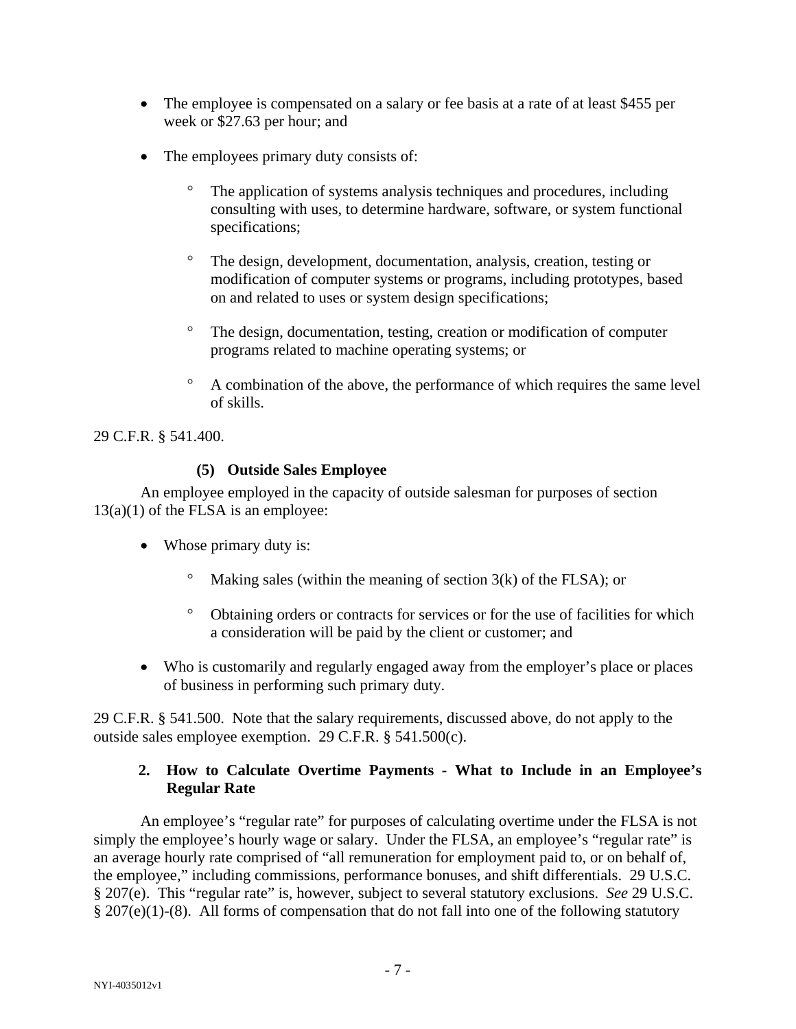- The employee is compensated on a salary or fee basis at a rate of at least \$455 per week or \$27.63 per hour; and
- The employees primary duty consists of:
	- The application of systems analysis techniques and procedures, including consulting with uses, to determine hardware, software, or system functional specifications;
	- ° The design, development, documentation, analysis, creation, testing or modification of computer systems or programs, including prototypes, based on and related to uses or system design specifications;
	- ° The design, documentation, testing, creation or modification of computer programs related to machine operating systems; or
	- ° A combination of the above, the performance of which requires the same level of skills.

29 C.F.R. § 541.400.

#### **(5) Outside Sales Employee**

An employee employed in the capacity of outside salesman for purposes of section  $13(a)(1)$  of the FLSA is an employee:

- Whose primary duty is:
	- Making sales (within the meaning of section  $3(k)$  of the FLSA); or
	- ° Obtaining orders or contracts for services or for the use of facilities for which a consideration will be paid by the client or customer; and
- Who is customarily and regularly engaged away from the employer's place or places of business in performing such primary duty.

29 C.F.R. § 541.500. Note that the salary requirements, discussed above, do not apply to the outside sales employee exemption. 29 C.F.R. § 541.500(c).

#### **2. How to Calculate Overtime Payments - What to Include in an Employee's Regular Rate**

An employee's "regular rate" for purposes of calculating overtime under the FLSA is not simply the employee's hourly wage or salary. Under the FLSA, an employee's "regular rate" is an average hourly rate comprised of "all remuneration for employment paid to, or on behalf of, the employee," including commissions, performance bonuses, and shift differentials. 29 U.S.C. § 207(e). This "regular rate" is, however, subject to several statutory exclusions. *See* 29 U.S.C.  $§ 207(e)(1)-(8)$ . All forms of compensation that do not fall into one of the following statutory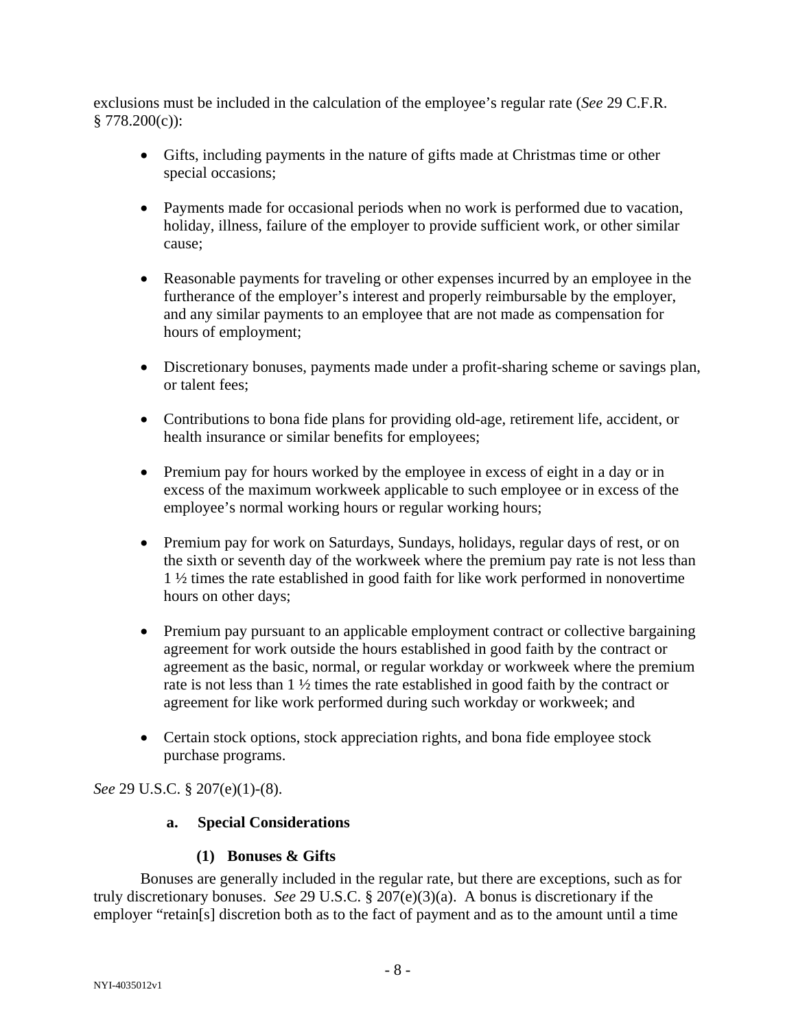exclusions must be included in the calculation of the employee's regular rate (*See* 29 C.F.R.  $$778.200(c)$ :

- Gifts, including payments in the nature of gifts made at Christmas time or other special occasions;
- Payments made for occasional periods when no work is performed due to vacation, holiday, illness, failure of the employer to provide sufficient work, or other similar cause;
- Reasonable payments for traveling or other expenses incurred by an employee in the furtherance of the employer's interest and properly reimbursable by the employer, and any similar payments to an employee that are not made as compensation for hours of employment;
- Discretionary bonuses, payments made under a profit-sharing scheme or savings plan, or talent fees;
- Contributions to bona fide plans for providing old-age, retirement life, accident, or health insurance or similar benefits for employees;
- Premium pay for hours worked by the employee in excess of eight in a day or in excess of the maximum workweek applicable to such employee or in excess of the employee's normal working hours or regular working hours;
- Premium pay for work on Saturdays, Sundays, holidays, regular days of rest, or on the sixth or seventh day of the workweek where the premium pay rate is not less than 1 ½ times the rate established in good faith for like work performed in nonovertime hours on other days;
- Premium pay pursuant to an applicable employment contract or collective bargaining agreement for work outside the hours established in good faith by the contract or agreement as the basic, normal, or regular workday or workweek where the premium rate is not less than 1 ½ times the rate established in good faith by the contract or agreement for like work performed during such workday or workweek; and
- Certain stock options, stock appreciation rights, and bona fide employee stock purchase programs.

*See* 29 U.S.C. § 207(e)(1)-(8).

# **a. Special Considerations**

# **(1) Bonuses & Gifts**

Bonuses are generally included in the regular rate, but there are exceptions, such as for truly discretionary bonuses. *See* 29 U.S.C. § 207(e)(3)(a). A bonus is discretionary if the employer "retain[s] discretion both as to the fact of payment and as to the amount until a time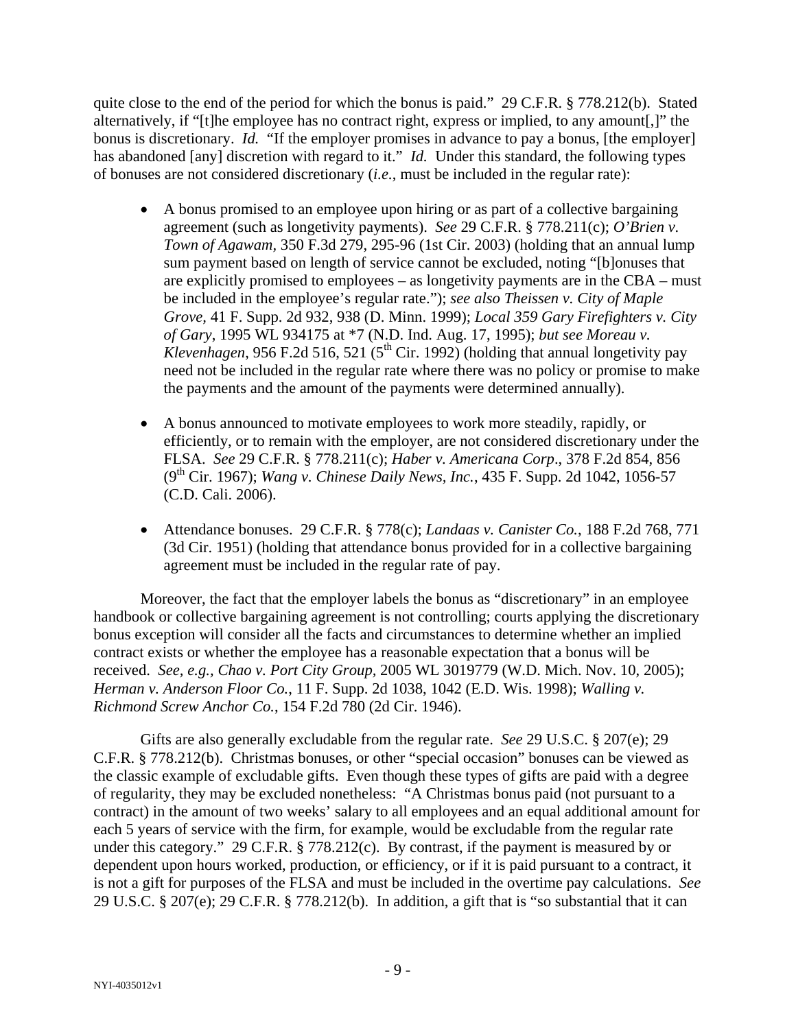quite close to the end of the period for which the bonus is paid." 29 C.F.R. § 778.212(b). Stated alternatively, if "[t]he employee has no contract right, express or implied, to any amount[,]" the bonus is discretionary. *Id.* "If the employer promises in advance to pay a bonus, [the employer] has abandoned [any] discretion with regard to it." *Id.* Under this standard, the following types of bonuses are not considered discretionary (*i.e.*, must be included in the regular rate):

- A bonus promised to an employee upon hiring or as part of a collective bargaining agreement (such as longetivity payments). *See* 29 C.F.R. § 778.211(c); *O'Brien v. Town of Agawam,* 350 F.3d 279, 295-96 (1st Cir. 2003) (holding that an annual lump sum payment based on length of service cannot be excluded, noting "[b]onuses that are explicitly promised to employees – as longetivity payments are in the CBA – must be included in the employee's regular rate."); *see also Theissen v. City of Maple Grove,* 41 F. Supp. 2d 932, 938 (D. Minn. 1999); *Local 359 Gary Firefighters v. City of Gary*, 1995 WL 934175 at \*7 (N.D. Ind. Aug. 17, 1995); *but see Moreau v. Klevenhagen*, 956 F.2d 516, 521 ( $5<sup>th</sup>$  Cir. 1992) (holding that annual longetivity pay need not be included in the regular rate where there was no policy or promise to make the payments and the amount of the payments were determined annually).
- A bonus announced to motivate employees to work more steadily, rapidly, or efficiently, or to remain with the employer, are not considered discretionary under the FLSA. *See* 29 C.F.R. § 778.211(c); *Haber v. Americana Corp*., 378 F.2d 854, 856 (9th Cir. 1967); *Wang v. Chinese Daily News, Inc.*, 435 F. Supp. 2d 1042, 1056-57 (C.D. Cali. 2006).
- Attendance bonuses. 29 C.F.R. § 778(c); *Landaas v. Canister Co.*, 188 F.2d 768, 771 (3d Cir. 1951) (holding that attendance bonus provided for in a collective bargaining agreement must be included in the regular rate of pay.

Moreover, the fact that the employer labels the bonus as "discretionary" in an employee handbook or collective bargaining agreement is not controlling; courts applying the discretionary bonus exception will consider all the facts and circumstances to determine whether an implied contract exists or whether the employee has a reasonable expectation that a bonus will be received. *See, e.g., Chao v. Port City Group,* 2005 WL 3019779 (W.D. Mich. Nov. 10, 2005); *Herman v. Anderson Floor Co.*, 11 F. Supp. 2d 1038, 1042 (E.D. Wis. 1998); *Walling v. Richmond Screw Anchor Co.*, 154 F.2d 780 (2d Cir. 1946).

Gifts are also generally excludable from the regular rate. *See* 29 U.S.C. § 207(e); 29 C.F.R. § 778.212(b). Christmas bonuses, or other "special occasion" bonuses can be viewed as the classic example of excludable gifts. Even though these types of gifts are paid with a degree of regularity, they may be excluded nonetheless: "A Christmas bonus paid (not pursuant to a contract) in the amount of two weeks' salary to all employees and an equal additional amount for each 5 years of service with the firm, for example, would be excludable from the regular rate under this category." 29 C.F.R.  $\S 778.212(c)$ . By contrast, if the payment is measured by or dependent upon hours worked, production, or efficiency, or if it is paid pursuant to a contract, it is not a gift for purposes of the FLSA and must be included in the overtime pay calculations. *See* 29 U.S.C. § 207(e); 29 C.F.R. § 778.212(b). In addition, a gift that is "so substantial that it can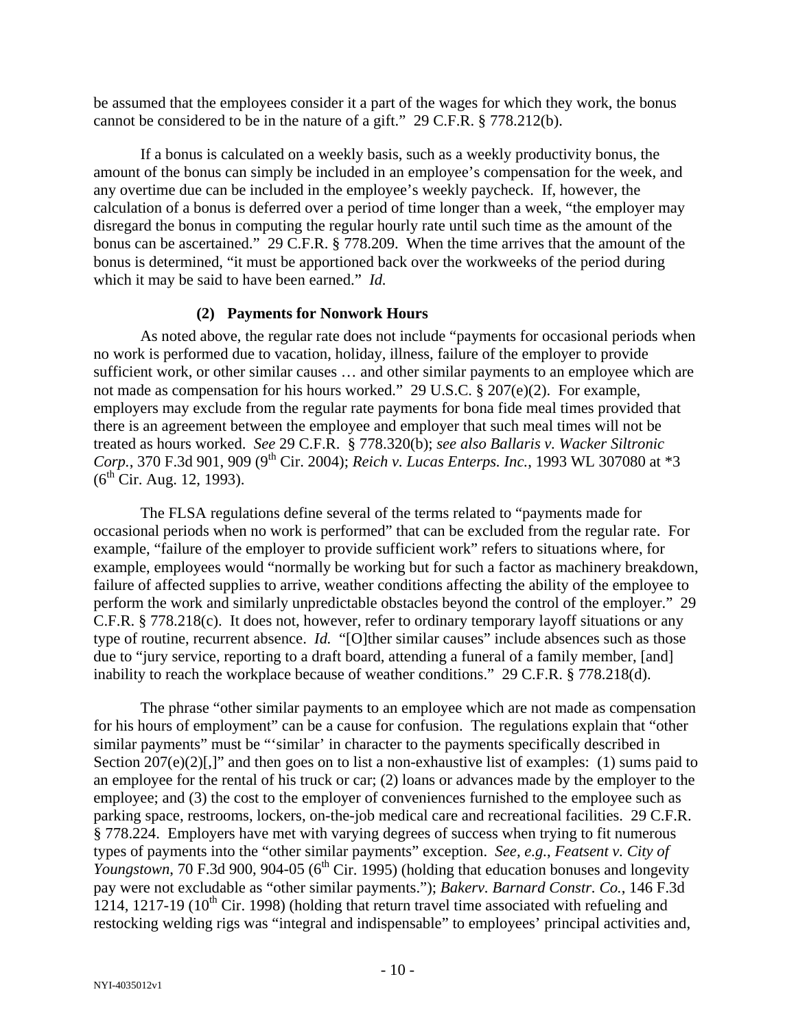be assumed that the employees consider it a part of the wages for which they work, the bonus cannot be considered to be in the nature of a gift." 29 C.F.R. § 778.212(b).

If a bonus is calculated on a weekly basis, such as a weekly productivity bonus, the amount of the bonus can simply be included in an employee's compensation for the week, and any overtime due can be included in the employee's weekly paycheck. If, however, the calculation of a bonus is deferred over a period of time longer than a week, "the employer may disregard the bonus in computing the regular hourly rate until such time as the amount of the bonus can be ascertained." 29 C.F.R. § 778.209. When the time arrives that the amount of the bonus is determined, "it must be apportioned back over the workweeks of the period during which it may be said to have been earned." *Id.*

#### **(2) Payments for Nonwork Hours**

As noted above, the regular rate does not include "payments for occasional periods when no work is performed due to vacation, holiday, illness, failure of the employer to provide sufficient work, or other similar causes … and other similar payments to an employee which are not made as compensation for his hours worked." 29 U.S.C. § 207(e)(2). For example, employers may exclude from the regular rate payments for bona fide meal times provided that there is an agreement between the employee and employer that such meal times will not be treated as hours worked. *See* 29 C.F.R. § 778.320(b); *see also Ballaris v. Wacker Siltronic Corp.*, 370 F.3d 901, 909 (9<sup>th</sup> Cir. 2004); *Reich v. Lucas Enterps. Inc.*, 1993 WL 307080 at \*3  $(6^{th}$  Cir. Aug. 12, 1993).

The FLSA regulations define several of the terms related to "payments made for occasional periods when no work is performed" that can be excluded from the regular rate. For example, "failure of the employer to provide sufficient work" refers to situations where, for example, employees would "normally be working but for such a factor as machinery breakdown, failure of affected supplies to arrive, weather conditions affecting the ability of the employee to perform the work and similarly unpredictable obstacles beyond the control of the employer." 29 C.F.R. § 778.218(c). It does not, however, refer to ordinary temporary layoff situations or any type of routine, recurrent absence. *Id.* "[O]ther similar causes" include absences such as those due to "jury service, reporting to a draft board, attending a funeral of a family member, [and] inability to reach the workplace because of weather conditions." 29 C.F.R. § 778.218(d).

The phrase "other similar payments to an employee which are not made as compensation for his hours of employment" can be a cause for confusion. The regulations explain that "other similar payments" must be "'similar' in character to the payments specifically described in Section  $207(e)(2)$ [,]" and then goes on to list a non-exhaustive list of examples: (1) sums paid to an employee for the rental of his truck or car; (2) loans or advances made by the employer to the employee; and (3) the cost to the employer of conveniences furnished to the employee such as parking space, restrooms, lockers, on-the-job medical care and recreational facilities. 29 C.F.R. § 778.224. Employers have met with varying degrees of success when trying to fit numerous types of payments into the "other similar payments" exception. *See, e.g.*, *Featsent v. City of*   $\frac{V}{\text{Y}^2}$  *Youngstown*, 70 F.3d 900, 904-05 (6<sup>th</sup> Cir. 1995) (holding that education bonuses and longevity pay were not excludable as "other similar payments."); *Bakerv. Barnard Constr. Co.*, 146 F.3d 1214, 1217-19 ( $10^{th}$  Cir. 1998) (holding that return travel time associated with refueling and restocking welding rigs was "integral and indispensable" to employees' principal activities and,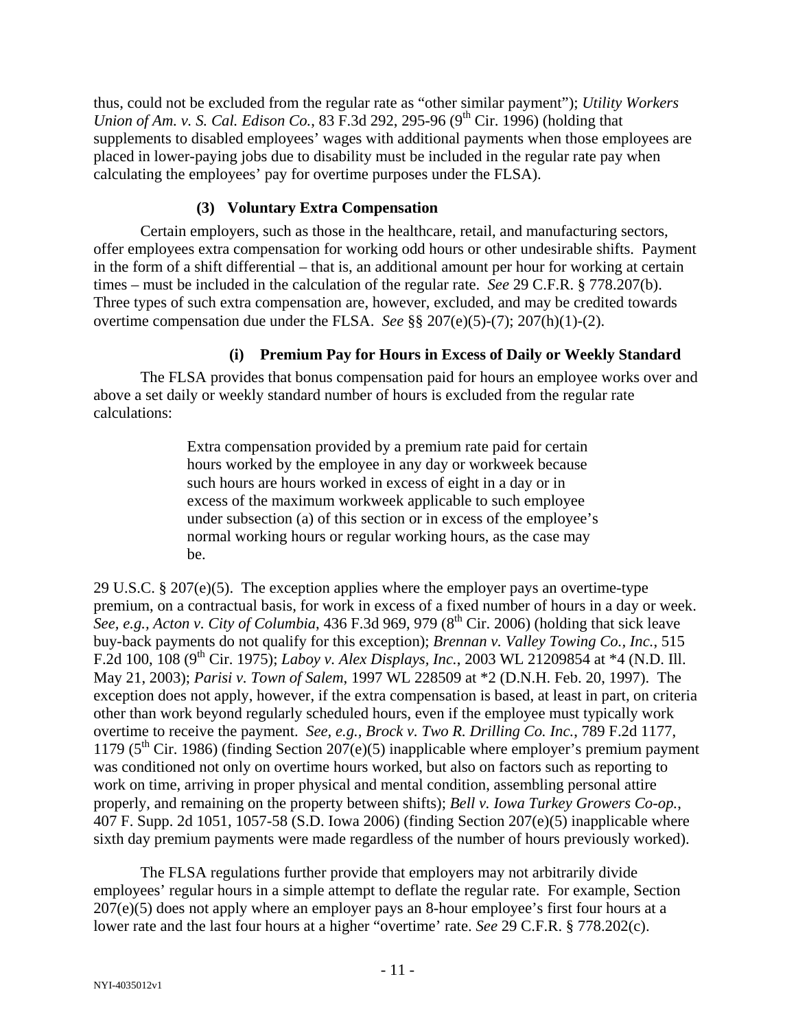thus, could not be excluded from the regular rate as "other similar payment"); *Utility Workers Union of Am. v. S. Cal. Edison Co.*, 83 F.3d 292, 295-96 (9<sup>th</sup> Cir. 1996) (holding that supplements to disabled employees' wages with additional payments when those employees are placed in lower-paying jobs due to disability must be included in the regular rate pay when calculating the employees' pay for overtime purposes under the FLSA).

# **(3) Voluntary Extra Compensation**

Certain employers, such as those in the healthcare, retail, and manufacturing sectors, offer employees extra compensation for working odd hours or other undesirable shifts. Payment in the form of a shift differential – that is, an additional amount per hour for working at certain times – must be included in the calculation of the regular rate. *See* 29 C.F.R. § 778.207(b). Three types of such extra compensation are, however, excluded, and may be credited towards overtime compensation due under the FLSA. *See* §§ 207(e)(5)-(7); 207(h)(1)-(2).

# **(i) Premium Pay for Hours in Excess of Daily or Weekly Standard**

The FLSA provides that bonus compensation paid for hours an employee works over and above a set daily or weekly standard number of hours is excluded from the regular rate calculations:

> Extra compensation provided by a premium rate paid for certain hours worked by the employee in any day or workweek because such hours are hours worked in excess of eight in a day or in excess of the maximum workweek applicable to such employee under subsection (a) of this section or in excess of the employee's normal working hours or regular working hours, as the case may be.

29 U.S.C. § 207(e)(5). The exception applies where the employer pays an overtime-type premium, on a contractual basis, for work in excess of a fixed number of hours in a day or week. *See, e.g., Acton v. City of Columbia,* 436 F.3d 969, 979 (8<sup>th</sup> Cir. 2006) (holding that sick leave buy-back payments do not qualify for this exception); *Brennan v. Valley Towing Co., Inc.*, 515 F.2d 100, 108 (9th Cir. 1975); *Laboy v. Alex Displays, Inc.*, 2003 WL 21209854 at \*4 (N.D. Ill. May 21, 2003); *Parisi v. Town of Salem*, 1997 WL 228509 at \*2 (D.N.H. Feb. 20, 1997). The exception does not apply, however, if the extra compensation is based, at least in part, on criteria other than work beyond regularly scheduled hours, even if the employee must typically work overtime to receive the payment. *See, e.g., Brock v. Two R. Drilling Co. Inc.*, 789 F.2d 1177, 1179 ( $5<sup>th</sup>$  Cir. 1986) (finding Section 207(e)(5) inapplicable where employer's premium payment was conditioned not only on overtime hours worked, but also on factors such as reporting to work on time, arriving in proper physical and mental condition, assembling personal attire properly, and remaining on the property between shifts); *Bell v. Iowa Turkey Growers Co-op.*, 407 F. Supp. 2d 1051, 1057-58 (S.D. Iowa 2006) (finding Section 207(e)(5) inapplicable where sixth day premium payments were made regardless of the number of hours previously worked).

The FLSA regulations further provide that employers may not arbitrarily divide employees' regular hours in a simple attempt to deflate the regular rate. For example, Section  $207(e)(5)$  does not apply where an employer pays an 8-hour employee's first four hours at a lower rate and the last four hours at a higher "overtime' rate. *See* 29 C.F.R. § 778.202(c).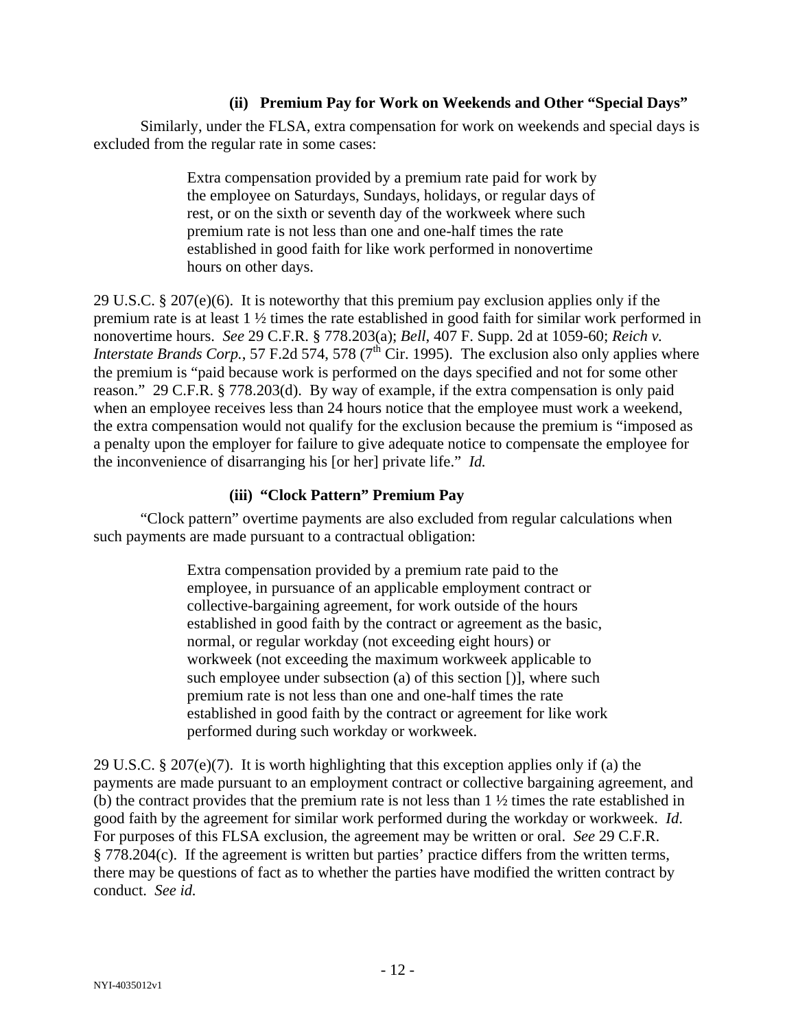### **(ii) Premium Pay for Work on Weekends and Other "Special Days"**

Similarly, under the FLSA, extra compensation for work on weekends and special days is excluded from the regular rate in some cases:

> Extra compensation provided by a premium rate paid for work by the employee on Saturdays, Sundays, holidays, or regular days of rest, or on the sixth or seventh day of the workweek where such premium rate is not less than one and one-half times the rate established in good faith for like work performed in nonovertime hours on other days.

29 U.S.C. § 207(e)(6). It is noteworthy that this premium pay exclusion applies only if the premium rate is at least 1 ½ times the rate established in good faith for similar work performed in nonovertime hours. *See* 29 C.F.R. § 778.203(a); *Bell*, 407 F. Supp. 2d at 1059-60; *Reich v. Interstate Brands Corp.*, 57 F.2d 574, 578 ( $7<sup>th</sup>$  Cir. 1995). The exclusion also only applies where the premium is "paid because work is performed on the days specified and not for some other reason." 29 C.F.R. § 778.203(d). By way of example, if the extra compensation is only paid when an employee receives less than 24 hours notice that the employee must work a weekend, the extra compensation would not qualify for the exclusion because the premium is "imposed as a penalty upon the employer for failure to give adequate notice to compensate the employee for the inconvenience of disarranging his [or her] private life." *Id.*

#### **(iii) "Clock Pattern" Premium Pay**

"Clock pattern" overtime payments are also excluded from regular calculations when such payments are made pursuant to a contractual obligation:

> Extra compensation provided by a premium rate paid to the employee, in pursuance of an applicable employment contract or collective-bargaining agreement, for work outside of the hours established in good faith by the contract or agreement as the basic, normal, or regular workday (not exceeding eight hours) or workweek (not exceeding the maximum workweek applicable to such employee under subsection (a) of this section [)], where such premium rate is not less than one and one-half times the rate established in good faith by the contract or agreement for like work performed during such workday or workweek.

29 U.S.C. § 207(e)(7). It is worth highlighting that this exception applies only if (a) the payments are made pursuant to an employment contract or collective bargaining agreement, and (b) the contract provides that the premium rate is not less than 1 ½ times the rate established in good faith by the agreement for similar work performed during the workday or workweek. *Id*. For purposes of this FLSA exclusion, the agreement may be written or oral. *See* 29 C.F.R. § 778.204(c). If the agreement is written but parties' practice differs from the written terms, there may be questions of fact as to whether the parties have modified the written contract by conduct. *See id.*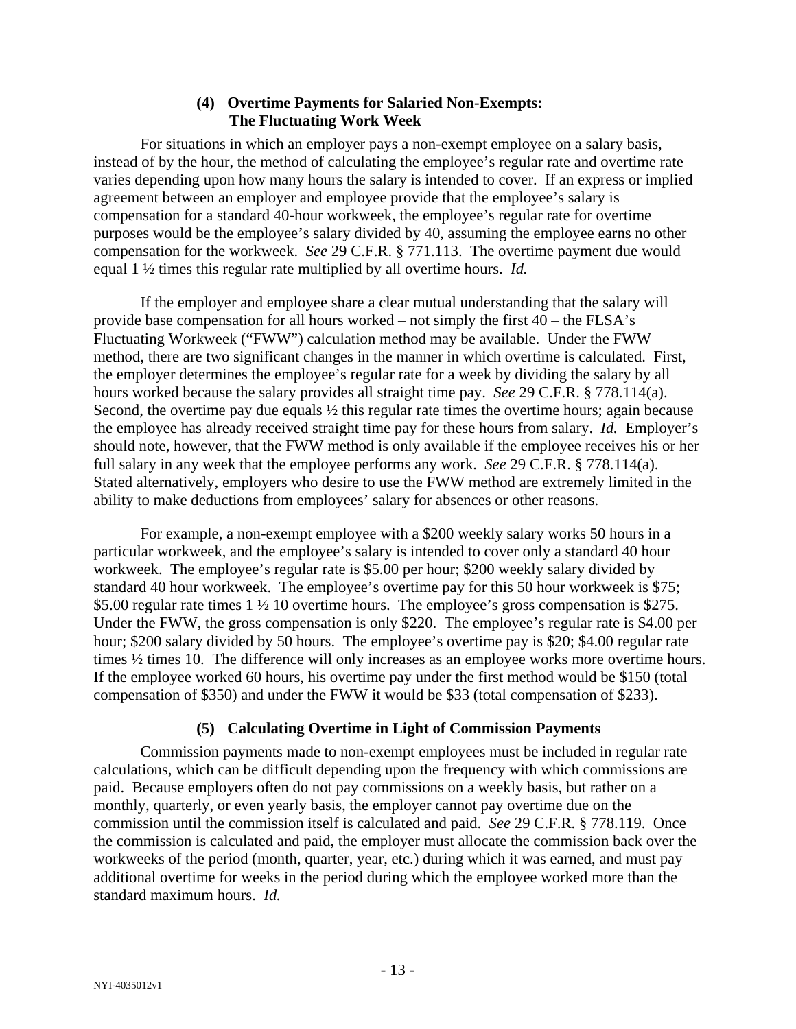### **(4) Overtime Payments for Salaried Non-Exempts: The Fluctuating Work Week**

For situations in which an employer pays a non-exempt employee on a salary basis, instead of by the hour, the method of calculating the employee's regular rate and overtime rate varies depending upon how many hours the salary is intended to cover. If an express or implied agreement between an employer and employee provide that the employee's salary is compensation for a standard 40-hour workweek, the employee's regular rate for overtime purposes would be the employee's salary divided by 40, assuming the employee earns no other compensation for the workweek. *See* 29 C.F.R. § 771.113. The overtime payment due would equal 1 ½ times this regular rate multiplied by all overtime hours. *Id.*

If the employer and employee share a clear mutual understanding that the salary will provide base compensation for all hours worked – not simply the first 40 – the FLSA's Fluctuating Workweek ("FWW") calculation method may be available. Under the FWW method, there are two significant changes in the manner in which overtime is calculated. First, the employer determines the employee's regular rate for a week by dividing the salary by all hours worked because the salary provides all straight time pay. *See* 29 C.F.R. § 778.114(a). Second, the overtime pay due equals  $\frac{1}{2}$  this regular rate times the overtime hours; again because the employee has already received straight time pay for these hours from salary. *Id.* Employer's should note, however, that the FWW method is only available if the employee receives his or her full salary in any week that the employee performs any work. *See* 29 C.F.R. § 778.114(a). Stated alternatively, employers who desire to use the FWW method are extremely limited in the ability to make deductions from employees' salary for absences or other reasons.

For example, a non-exempt employee with a \$200 weekly salary works 50 hours in a particular workweek, and the employee's salary is intended to cover only a standard 40 hour workweek. The employee's regular rate is \$5.00 per hour; \$200 weekly salary divided by standard 40 hour workweek. The employee's overtime pay for this 50 hour workweek is \$75; \$5.00 regular rate times 1  $\frac{1}{2}$  10 overtime hours. The employee's gross compensation is \$275. Under the FWW, the gross compensation is only \$220. The employee's regular rate is \$4.00 per hour; \$200 salary divided by 50 hours. The employee's overtime pay is \$20; \$4.00 regular rate times ½ times 10. The difference will only increases as an employee works more overtime hours. If the employee worked 60 hours, his overtime pay under the first method would be \$150 (total compensation of \$350) and under the FWW it would be \$33 (total compensation of \$233).

# **(5) Calculating Overtime in Light of Commission Payments**

Commission payments made to non-exempt employees must be included in regular rate calculations, which can be difficult depending upon the frequency with which commissions are paid. Because employers often do not pay commissions on a weekly basis, but rather on a monthly, quarterly, or even yearly basis, the employer cannot pay overtime due on the commission until the commission itself is calculated and paid. *See* 29 C.F.R. § 778.119. Once the commission is calculated and paid, the employer must allocate the commission back over the workweeks of the period (month, quarter, year, etc.) during which it was earned, and must pay additional overtime for weeks in the period during which the employee worked more than the standard maximum hours. *Id.*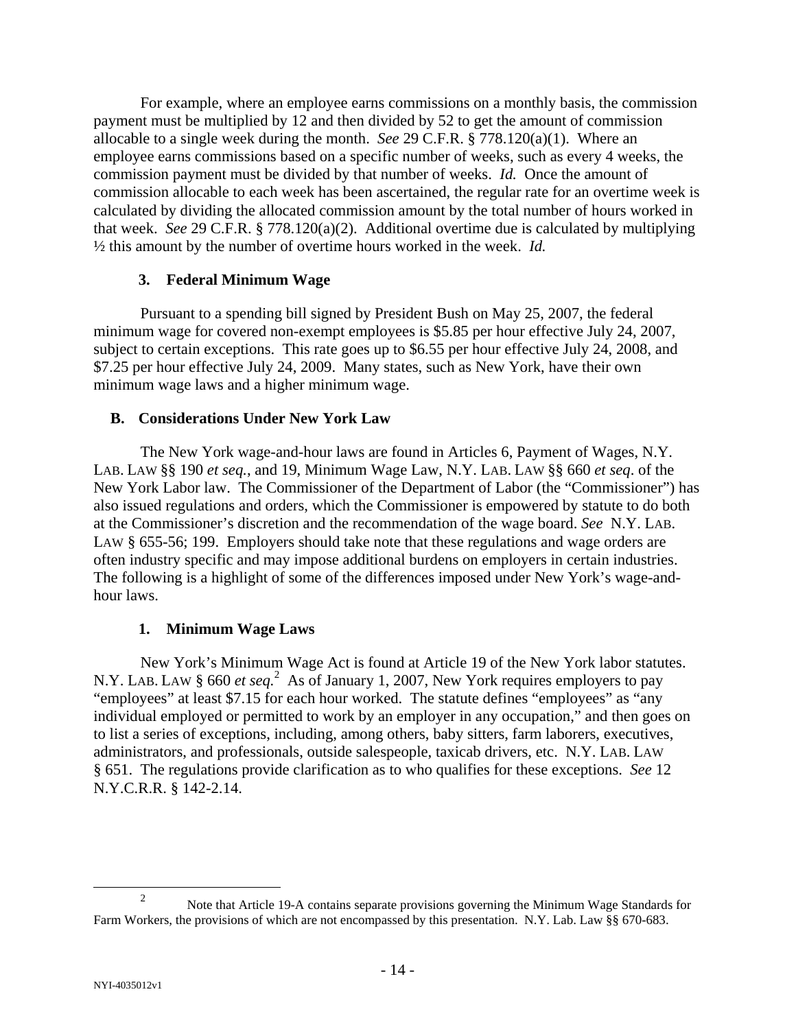For example, where an employee earns commissions on a monthly basis, the commission payment must be multiplied by 12 and then divided by 52 to get the amount of commission allocable to a single week during the month. *See* 29 C.F.R. § 778.120(a)(1). Where an employee earns commissions based on a specific number of weeks, such as every 4 weeks, the commission payment must be divided by that number of weeks. *Id.* Once the amount of commission allocable to each week has been ascertained, the regular rate for an overtime week is calculated by dividing the allocated commission amount by the total number of hours worked in that week. *See* 29 C.F.R. § 778.120(a)(2). Additional overtime due is calculated by multiplying ½ this amount by the number of overtime hours worked in the week. *Id.*

#### **3. Federal Minimum Wage**

Pursuant to a spending bill signed by President Bush on May 25, 2007, the federal minimum wage for covered non-exempt employees is \$5.85 per hour effective July 24, 2007, subject to certain exceptions. This rate goes up to \$6.55 per hour effective July 24, 2008, and \$7.25 per hour effective July 24, 2009. Many states, such as New York, have their own minimum wage laws and a higher minimum wage.

#### **B. Considerations Under New York Law**

The New York wage-and-hour laws are found in Articles 6, Payment of Wages, N.Y. LAB. LAW §§ 190 *et seq.*, and 19, Minimum Wage Law, N.Y. LAB. LAW §§ 660 *et seq*. of the New York Labor law. The Commissioner of the Department of Labor (the "Commissioner") has also issued regulations and orders, which the Commissioner is empowered by statute to do both at the Commissioner's discretion and the recommendation of the wage board. *See* N.Y. LAB. LAW § 655-56; 199. Employers should take note that these regulations and wage orders are often industry specific and may impose additional burdens on employers in certain industries. The following is a highlight of some of the differences imposed under New York's wage-andhour laws.

# **1. Minimum Wage Laws**

New York's Minimum Wage Act is found at Article 19 of the New York labor statutes. N.Y. LAB. LAW § 660 *et seq*.<sup>2</sup> As of January 1, 2007, New York requires employers to pay "employees" at least \$7.15 for each hour worked. The statute defines "employees" as "any individual employed or permitted to work by an employer in any occupation," and then goes on to list a series of exceptions, including, among others, baby sitters, farm laborers, executives, administrators, and professionals, outside salespeople, taxicab drivers, etc. N.Y. LAB. LAW § 651. The regulations provide clarification as to who qualifies for these exceptions. *See* 12 N.Y.C.R.R. § 142-2.14.

 $\frac{1}{2}$ <sup>2</sup> Note that Article 19-A contains separate provisions governing the Minimum Wage Standards for Farm Workers, the provisions of which are not encompassed by this presentation. N.Y. Lab. Law §§ 670-683.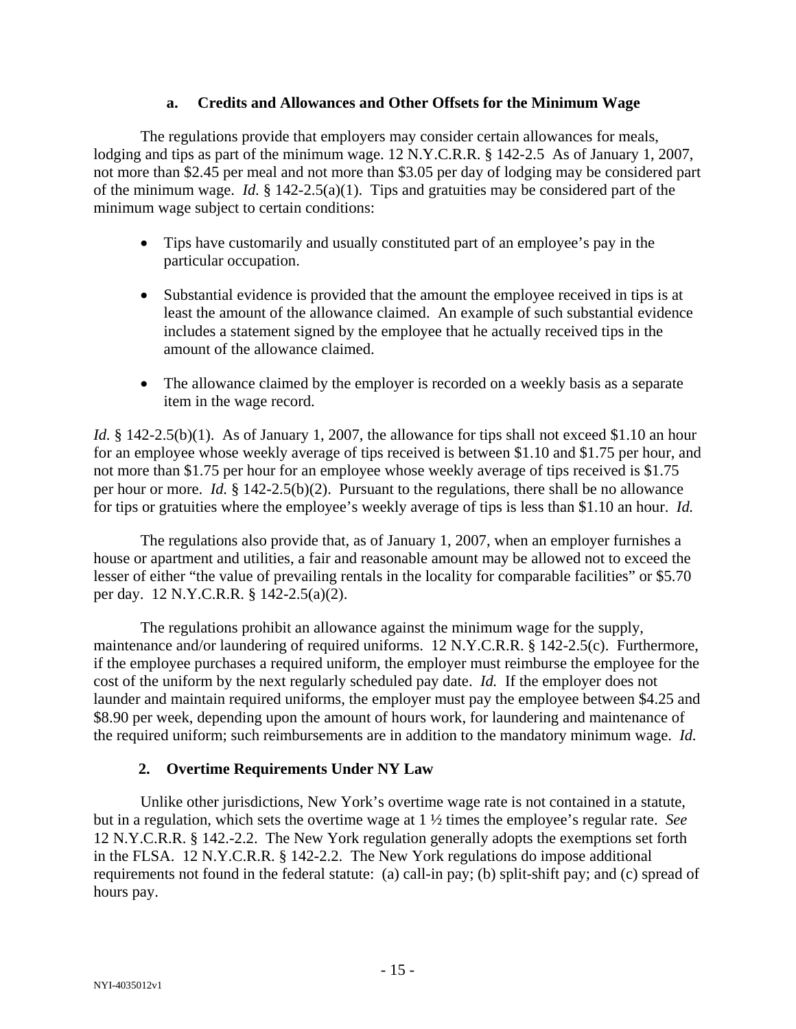#### **a. Credits and Allowances and Other Offsets for the Minimum Wage**

The regulations provide that employers may consider certain allowances for meals, lodging and tips as part of the minimum wage. 12 N.Y.C.R.R. § 142-2.5 As of January 1, 2007, not more than \$2.45 per meal and not more than \$3.05 per day of lodging may be considered part of the minimum wage. *Id.* § 142-2.5(a)(1). Tips and gratuities may be considered part of the minimum wage subject to certain conditions:

- Tips have customarily and usually constituted part of an employee's pay in the particular occupation.
- Substantial evidence is provided that the amount the employee received in tips is at least the amount of the allowance claimed. An example of such substantial evidence includes a statement signed by the employee that he actually received tips in the amount of the allowance claimed.
- The allowance claimed by the employer is recorded on a weekly basis as a separate item in the wage record.

*Id.* § 142-2.5(b)(1). As of January 1, 2007, the allowance for tips shall not exceed \$1.10 an hour for an employee whose weekly average of tips received is between \$1.10 and \$1.75 per hour, and not more than \$1.75 per hour for an employee whose weekly average of tips received is \$1.75 per hour or more. *Id.* § 142-2.5(b)(2). Pursuant to the regulations, there shall be no allowance for tips or gratuities where the employee's weekly average of tips is less than \$1.10 an hour. *Id.*

The regulations also provide that, as of January 1, 2007, when an employer furnishes a house or apartment and utilities, a fair and reasonable amount may be allowed not to exceed the lesser of either "the value of prevailing rentals in the locality for comparable facilities" or \$5.70 per day. 12 N.Y.C.R.R. § 142-2.5(a)(2).

The regulations prohibit an allowance against the minimum wage for the supply, maintenance and/or laundering of required uniforms. 12 N.Y.C.R.R. § 142-2.5(c). Furthermore, if the employee purchases a required uniform, the employer must reimburse the employee for the cost of the uniform by the next regularly scheduled pay date. *Id.* If the employer does not launder and maintain required uniforms, the employer must pay the employee between \$4.25 and \$8.90 per week, depending upon the amount of hours work, for laundering and maintenance of the required uniform; such reimbursements are in addition to the mandatory minimum wage. *Id.*

# **2. Overtime Requirements Under NY Law**

Unlike other jurisdictions, New York's overtime wage rate is not contained in a statute, but in a regulation, which sets the overtime wage at 1 ½ times the employee's regular rate. *See* 12 N.Y.C.R.R. § 142.-2.2. The New York regulation generally adopts the exemptions set forth in the FLSA. 12 N.Y.C.R.R. § 142-2.2. The New York regulations do impose additional requirements not found in the federal statute: (a) call-in pay; (b) split-shift pay; and (c) spread of hours pay.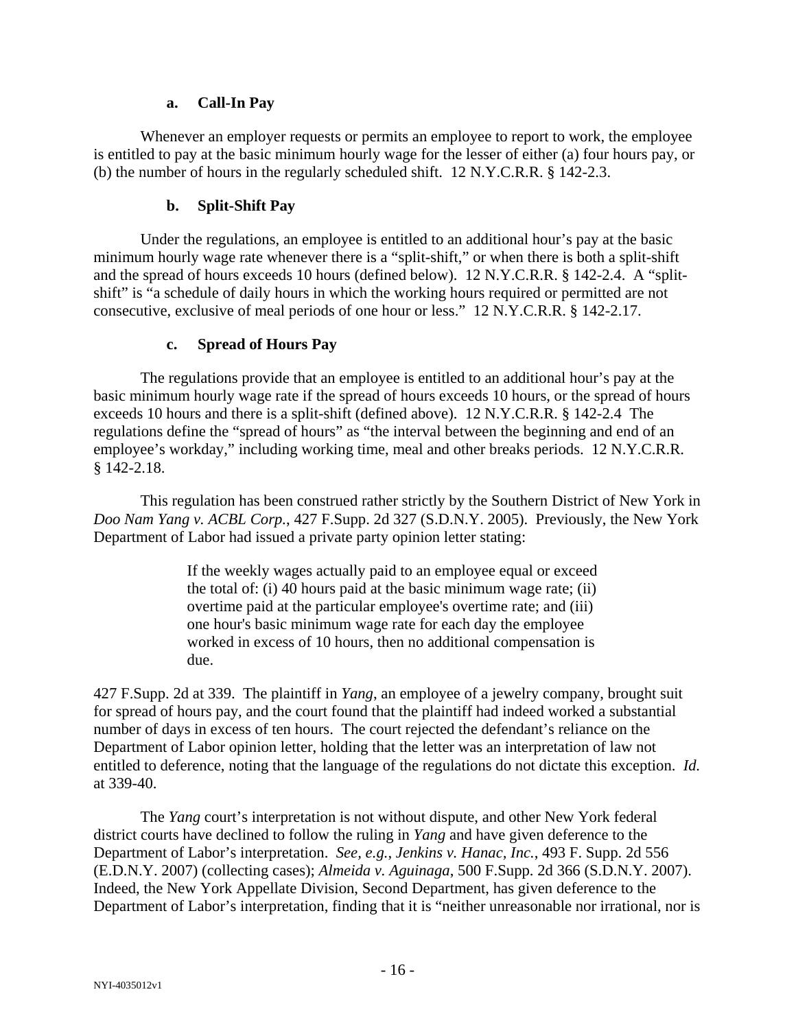#### **a. Call-In Pay**

Whenever an employer requests or permits an employee to report to work, the employee is entitled to pay at the basic minimum hourly wage for the lesser of either (a) four hours pay, or (b) the number of hours in the regularly scheduled shift. 12 N.Y.C.R.R. § 142-2.3.

### **b. Split-Shift Pay**

Under the regulations, an employee is entitled to an additional hour's pay at the basic minimum hourly wage rate whenever there is a "split-shift," or when there is both a split-shift and the spread of hours exceeds 10 hours (defined below). 12 N.Y.C.R.R. § 142-2.4. A "splitshift" is "a schedule of daily hours in which the working hours required or permitted are not consecutive, exclusive of meal periods of one hour or less." 12 N.Y.C.R.R. § 142-2.17.

#### **c. Spread of Hours Pay**

The regulations provide that an employee is entitled to an additional hour's pay at the basic minimum hourly wage rate if the spread of hours exceeds 10 hours, or the spread of hours exceeds 10 hours and there is a split-shift (defined above). 12 N.Y.C.R.R. § 142-2.4 The regulations define the "spread of hours" as "the interval between the beginning and end of an employee's workday," including working time, meal and other breaks periods. 12 N.Y.C.R.R. § 142-2.18.

This regulation has been construed rather strictly by the Southern District of New York in *Doo Nam Yang v. ACBL Corp.*, 427 F.Supp. 2d 327 (S.D.N.Y. 2005). Previously, the New York Department of Labor had issued a private party opinion letter stating:

> If the weekly wages actually paid to an employee equal or exceed the total of: (i) 40 hours paid at the basic minimum wage rate; (ii) overtime paid at the particular employee's overtime rate; and (iii) one hour's basic minimum wage rate for each day the employee worked in excess of 10 hours, then no additional compensation is due.

427 F.Supp. 2d at 339. The plaintiff in *Yang*, an employee of a jewelry company, brought suit for spread of hours pay, and the court found that the plaintiff had indeed worked a substantial number of days in excess of ten hours. The court rejected the defendant's reliance on the Department of Labor opinion letter, holding that the letter was an interpretation of law not entitled to deference, noting that the language of the regulations do not dictate this exception. *Id.* at 339-40.

The *Yang* court's interpretation is not without dispute, and other New York federal district courts have declined to follow the ruling in *Yang* and have given deference to the Department of Labor's interpretation. *See, e.g.*, *Jenkins v. Hanac, Inc.*, 493 F. Supp. 2d 556 (E.D.N.Y. 2007) (collecting cases); *Almeida v. Aguinaga*, 500 F.Supp. 2d 366 (S.D.N.Y. 2007). Indeed, the New York Appellate Division, Second Department, has given deference to the Department of Labor's interpretation, finding that it is "neither unreasonable nor irrational, nor is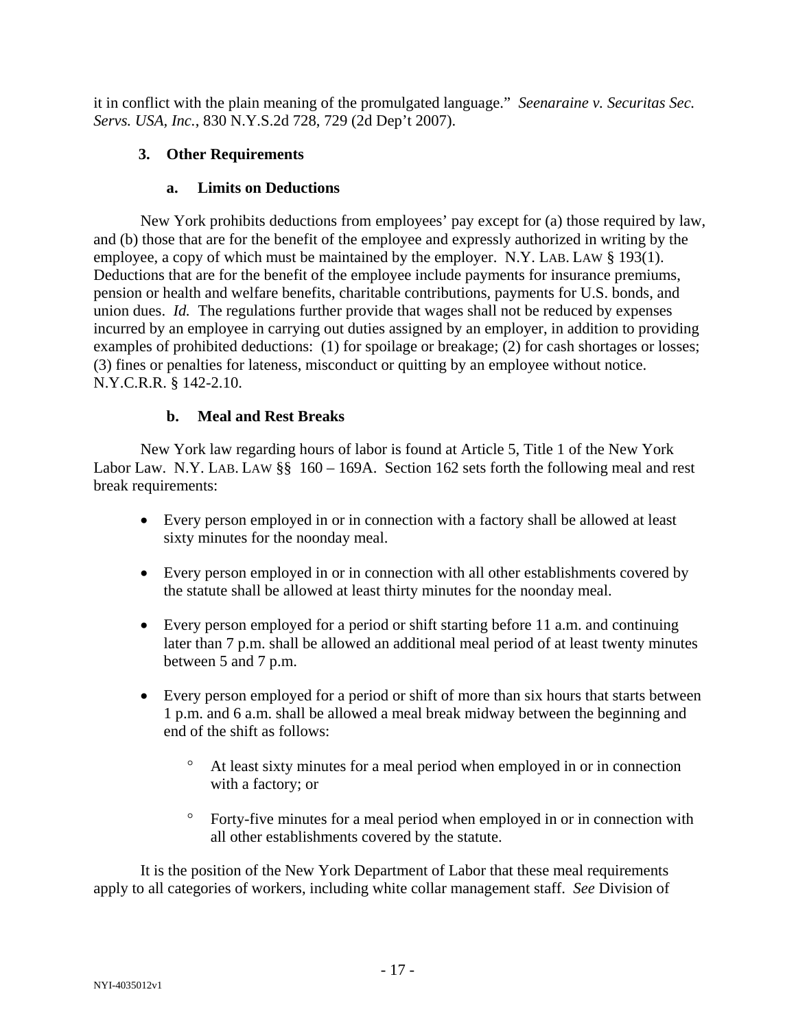it in conflict with the plain meaning of the promulgated language." *Seenaraine v. Securitas Sec. Servs. USA, Inc.*, 830 N.Y.S.2d 728, 729 (2d Dep't 2007).

# **3. Other Requirements**

### **a. Limits on Deductions**

New York prohibits deductions from employees' pay except for (a) those required by law, and (b) those that are for the benefit of the employee and expressly authorized in writing by the employee, a copy of which must be maintained by the employer. N.Y. LAB. LAW § 193(1). Deductions that are for the benefit of the employee include payments for insurance premiums, pension or health and welfare benefits, charitable contributions, payments for U.S. bonds, and union dues. *Id.* The regulations further provide that wages shall not be reduced by expenses incurred by an employee in carrying out duties assigned by an employer, in addition to providing examples of prohibited deductions: (1) for spoilage or breakage; (2) for cash shortages or losses; (3) fines or penalties for lateness, misconduct or quitting by an employee without notice. N.Y.C.R.R. § 142-2.10.

# **b. Meal and Rest Breaks**

New York law regarding hours of labor is found at Article 5, Title 1 of the New York Labor Law. N.Y. LAB. LAW §§ 160 – 169A. Section 162 sets forth the following meal and rest break requirements:

- Every person employed in or in connection with a factory shall be allowed at least sixty minutes for the noonday meal.
- Every person employed in or in connection with all other establishments covered by the statute shall be allowed at least thirty minutes for the noonday meal.
- Every person employed for a period or shift starting before 11 a.m. and continuing later than 7 p.m. shall be allowed an additional meal period of at least twenty minutes between 5 and 7 p.m.
- Every person employed for a period or shift of more than six hours that starts between 1 p.m. and 6 a.m. shall be allowed a meal break midway between the beginning and end of the shift as follows:
	- ° At least sixty minutes for a meal period when employed in or in connection with a factory; or
	- ° Forty-five minutes for a meal period when employed in or in connection with all other establishments covered by the statute.

It is the position of the New York Department of Labor that these meal requirements apply to all categories of workers, including white collar management staff. *See* Division of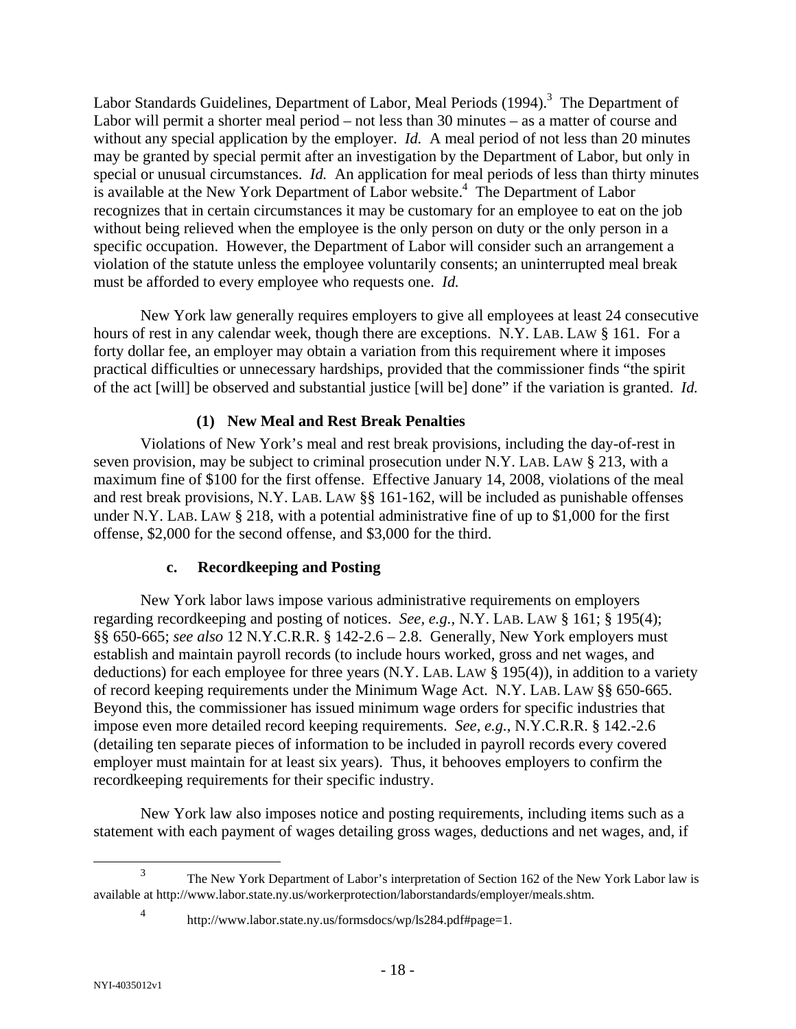Labor Standards Guidelines, Department of Labor, Meal Periods (1994).<sup>3</sup> The Department of Labor will permit a shorter meal period – not less than 30 minutes – as a matter of course and without any special application by the employer. *Id.* A meal period of not less than 20 minutes may be granted by special permit after an investigation by the Department of Labor, but only in special or unusual circumstances. *Id.* An application for meal periods of less than thirty minutes is available at the New York Department of Labor website.<sup>4</sup> The Department of Labor recognizes that in certain circumstances it may be customary for an employee to eat on the job without being relieved when the employee is the only person on duty or the only person in a specific occupation. However, the Department of Labor will consider such an arrangement a violation of the statute unless the employee voluntarily consents; an uninterrupted meal break must be afforded to every employee who requests one. *Id.*

New York law generally requires employers to give all employees at least 24 consecutive hours of rest in any calendar week, though there are exceptions. N.Y. LAB. LAW § 161. For a forty dollar fee, an employer may obtain a variation from this requirement where it imposes practical difficulties or unnecessary hardships, provided that the commissioner finds "the spirit of the act [will] be observed and substantial justice [will be] done" if the variation is granted. *Id.*

# **(1) New Meal and Rest Break Penalties**

Violations of New York's meal and rest break provisions, including the day-of-rest in seven provision, may be subject to criminal prosecution under N.Y. LAB. LAW § 213, with a maximum fine of \$100 for the first offense. Effective January 14, 2008, violations of the meal and rest break provisions, N.Y. LAB. LAW §§ 161-162, will be included as punishable offenses under N.Y. LAB. LAW § 218, with a potential administrative fine of up to \$1,000 for the first offense, \$2,000 for the second offense, and \$3,000 for the third.

#### **c. Recordkeeping and Posting**

New York labor laws impose various administrative requirements on employers regarding recordkeeping and posting of notices. *See, e.g.,* N.Y. LAB. LAW § 161; § 195(4); §§ 650-665; *see also* 12 N.Y.C.R.R. § 142-2.6 – 2.8. Generally, New York employers must establish and maintain payroll records (to include hours worked, gross and net wages, and deductions) for each employee for three years (N.Y. LAB. LAW § 195(4)), in addition to a variety of record keeping requirements under the Minimum Wage Act. N.Y. LAB. LAW §§ 650-665. Beyond this, the commissioner has issued minimum wage orders for specific industries that impose even more detailed record keeping requirements. *See, e.g.*, N.Y.C.R.R. § 142.-2.6 (detailing ten separate pieces of information to be included in payroll records every covered employer must maintain for at least six years). Thus, it behooves employers to confirm the recordkeeping requirements for their specific industry.

New York law also imposes notice and posting requirements, including items such as a statement with each payment of wages detailing gross wages, deductions and net wages, and, if

4

 $\frac{1}{3}$  The New York Department of Labor's interpretation of Section 162 of the New York Labor law is available at http://www.labor.state.ny.us/workerprotection/laborstandards/employer/meals.shtm.

http://www.labor.state.ny.us/formsdocs/wp/ls284.pdf#page=1.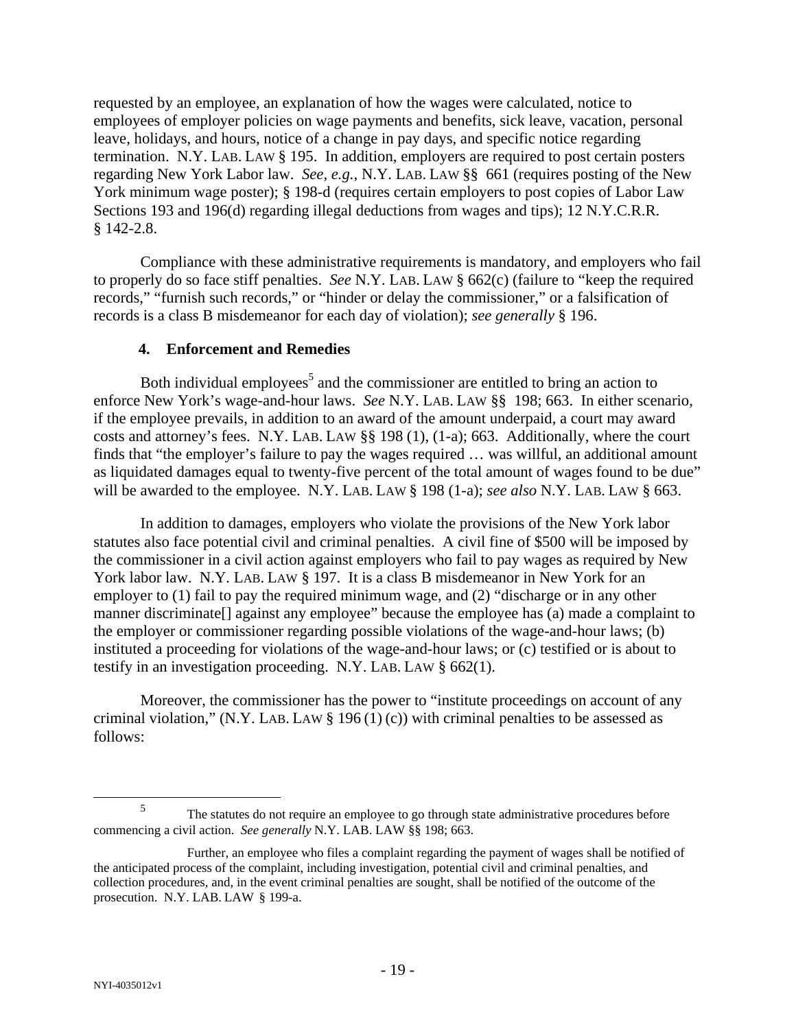requested by an employee, an explanation of how the wages were calculated, notice to employees of employer policies on wage payments and benefits, sick leave, vacation, personal leave, holidays, and hours, notice of a change in pay days, and specific notice regarding termination. N.Y. LAB. LAW § 195. In addition, employers are required to post certain posters regarding New York Labor law. *See, e.g.*, N.Y. LAB. LAW §§ 661 (requires posting of the New York minimum wage poster); § 198-d (requires certain employers to post copies of Labor Law Sections 193 and 196(d) regarding illegal deductions from wages and tips); 12 N.Y.C.R.R. § 142-2.8.

Compliance with these administrative requirements is mandatory, and employers who fail to properly do so face stiff penalties. *See* N.Y. LAB. LAW § 662(c) (failure to "keep the required records," "furnish such records," or "hinder or delay the commissioner," or a falsification of records is a class B misdemeanor for each day of violation); *see generally* § 196.

#### **4. Enforcement and Remedies**

Both individual employees<sup>5</sup> and the commissioner are entitled to bring an action to enforce New York's wage-and-hour laws. *See* N.Y. LAB. LAW §§ 198; 663. In either scenario, if the employee prevails, in addition to an award of the amount underpaid, a court may award costs and attorney's fees. N.Y. LAB. LAW §§ 198 (1), (1-a); 663. Additionally, where the court finds that "the employer's failure to pay the wages required … was willful, an additional amount as liquidated damages equal to twenty-five percent of the total amount of wages found to be due" will be awarded to the employee. N.Y. LAB. LAW § 198 (1-a); *see also* N.Y. LAB. LAW § 663.

In addition to damages, employers who violate the provisions of the New York labor statutes also face potential civil and criminal penalties. A civil fine of \$500 will be imposed by the commissioner in a civil action against employers who fail to pay wages as required by New York labor law. N.Y. LAB. LAW § 197. It is a class B misdemeanor in New York for an employer to (1) fail to pay the required minimum wage, and (2) "discharge or in any other manner discriminate[] against any employee" because the employee has (a) made a complaint to the employer or commissioner regarding possible violations of the wage-and-hour laws; (b) instituted a proceeding for violations of the wage-and-hour laws; or (c) testified or is about to testify in an investigation proceeding. N.Y. LAB. LAW § 662(1).

Moreover, the commissioner has the power to "institute proceedings on account of any criminal violation," (N.Y. LAB. LAW  $\S$  196(1)(c)) with criminal penalties to be assessed as follows:

 $\frac{1}{5}$ <sup>5</sup> The statutes do not require an employee to go through state administrative procedures before commencing a civil action. *See generally* N.Y. LAB. LAW §§ 198; 663.

Further, an employee who files a complaint regarding the payment of wages shall be notified of the anticipated process of the complaint, including investigation, potential civil and criminal penalties, and collection procedures, and, in the event criminal penalties are sought, shall be notified of the outcome of the prosecution. N.Y. LAB. LAW § 199-a.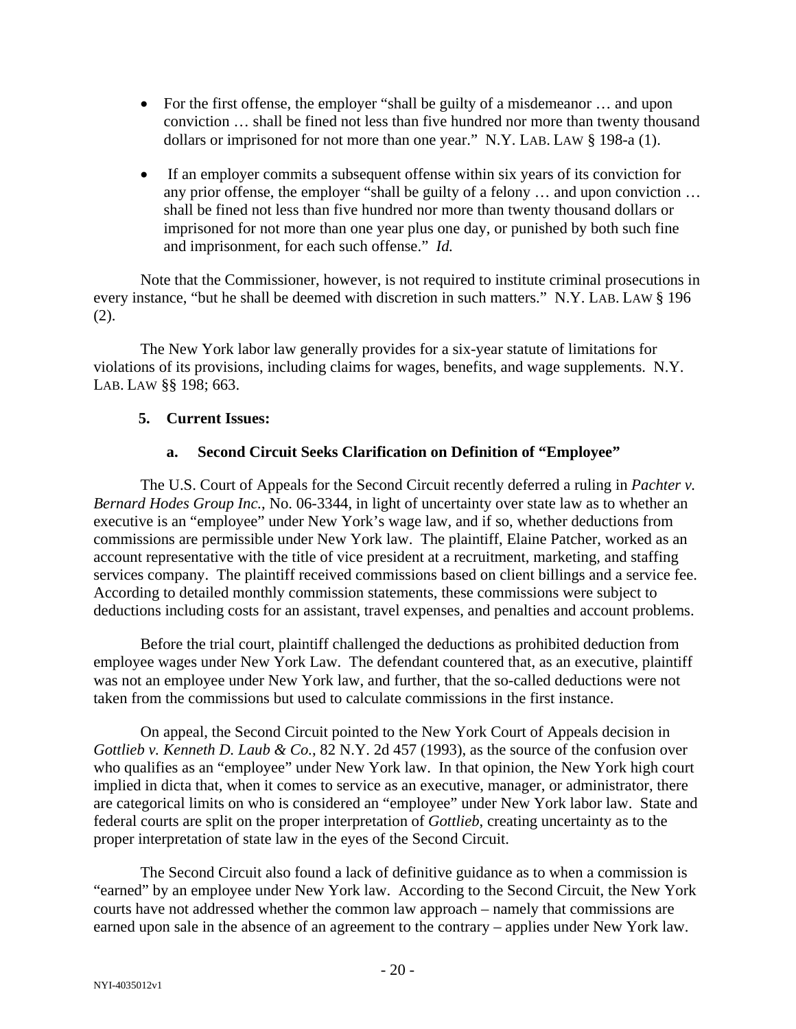- For the first offense, the employer "shall be guilty of a misdemeanor ... and upon conviction … shall be fined not less than five hundred nor more than twenty thousand dollars or imprisoned for not more than one year." N.Y. LAB. LAW § 198-a (1).
- If an employer commits a subsequent offense within six years of its conviction for any prior offense, the employer "shall be guilty of a felony … and upon conviction … shall be fined not less than five hundred nor more than twenty thousand dollars or imprisoned for not more than one year plus one day, or punished by both such fine and imprisonment, for each such offense." *Id.*

Note that the Commissioner, however, is not required to institute criminal prosecutions in every instance, "but he shall be deemed with discretion in such matters." N.Y. LAB. LAW § 196 (2).

The New York labor law generally provides for a six-year statute of limitations for violations of its provisions, including claims for wages, benefits, and wage supplements. N.Y. LAB. LAW §§ 198; 663.

#### **5. Current Issues:**

#### **a. Second Circuit Seeks Clarification on Definition of "Employee"**

The U.S. Court of Appeals for the Second Circuit recently deferred a ruling in *Pachter v. Bernard Hodes Group Inc.*, No. 06-3344, in light of uncertainty over state law as to whether an executive is an "employee" under New York's wage law, and if so, whether deductions from commissions are permissible under New York law. The plaintiff, Elaine Patcher, worked as an account representative with the title of vice president at a recruitment, marketing, and staffing services company. The plaintiff received commissions based on client billings and a service fee. According to detailed monthly commission statements, these commissions were subject to deductions including costs for an assistant, travel expenses, and penalties and account problems.

Before the trial court, plaintiff challenged the deductions as prohibited deduction from employee wages under New York Law. The defendant countered that, as an executive, plaintiff was not an employee under New York law, and further, that the so-called deductions were not taken from the commissions but used to calculate commissions in the first instance.

On appeal, the Second Circuit pointed to the New York Court of Appeals decision in *Gottlieb v. Kenneth D. Laub & Co.*, 82 N.Y. 2d 457 (1993), as the source of the confusion over who qualifies as an "employee" under New York law. In that opinion, the New York high court implied in dicta that, when it comes to service as an executive, manager, or administrator, there are categorical limits on who is considered an "employee" under New York labor law. State and federal courts are split on the proper interpretation of *Gottlieb*, creating uncertainty as to the proper interpretation of state law in the eyes of the Second Circuit.

The Second Circuit also found a lack of definitive guidance as to when a commission is "earned" by an employee under New York law. According to the Second Circuit, the New York courts have not addressed whether the common law approach – namely that commissions are earned upon sale in the absence of an agreement to the contrary – applies under New York law.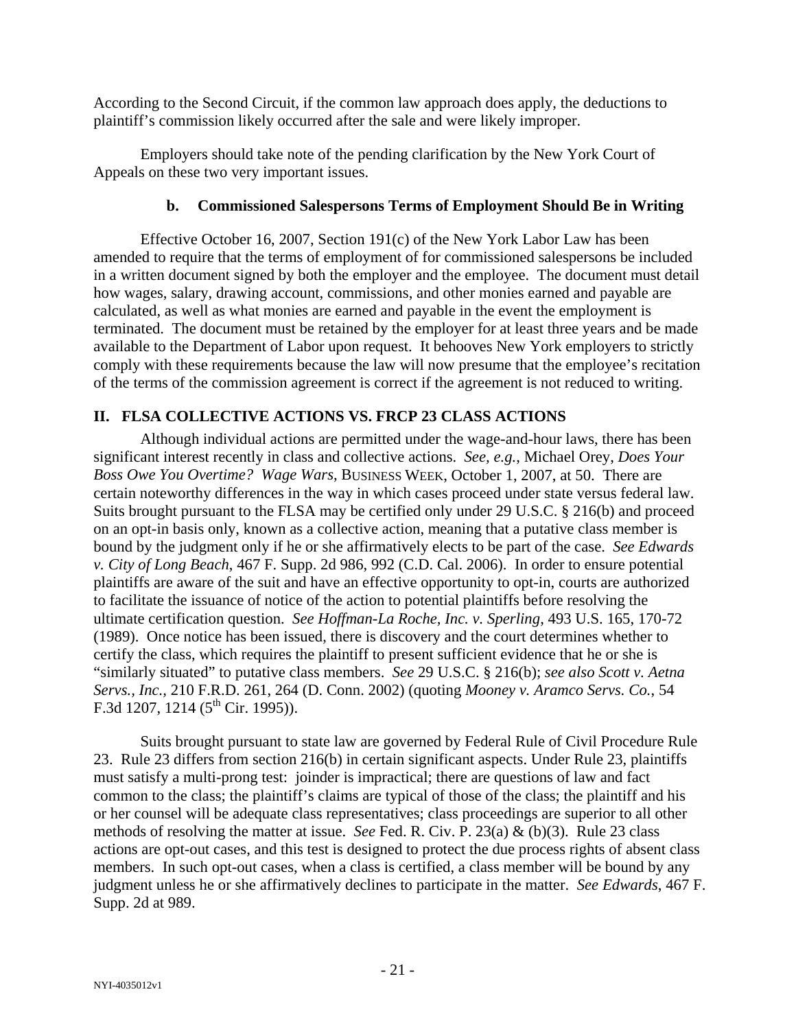According to the Second Circuit, if the common law approach does apply, the deductions to plaintiff's commission likely occurred after the sale and were likely improper.

Employers should take note of the pending clarification by the New York Court of Appeals on these two very important issues.

### **b. Commissioned Salespersons Terms of Employment Should Be in Writing**

Effective October 16, 2007, Section 191(c) of the New York Labor Law has been amended to require that the terms of employment of for commissioned salespersons be included in a written document signed by both the employer and the employee. The document must detail how wages, salary, drawing account, commissions, and other monies earned and payable are calculated, as well as what monies are earned and payable in the event the employment is terminated. The document must be retained by the employer for at least three years and be made available to the Department of Labor upon request. It behooves New York employers to strictly comply with these requirements because the law will now presume that the employee's recitation of the terms of the commission agreement is correct if the agreement is not reduced to writing.

# **II. FLSA COLLECTIVE ACTIONS VS. FRCP 23 CLASS ACTIONS**

Although individual actions are permitted under the wage-and-hour laws, there has been significant interest recently in class and collective actions. *See, e.g.*, Michael Orey, *Does Your Boss Owe You Overtime? Wage Wars*, BUSINESS WEEK, October 1, 2007, at 50. There are certain noteworthy differences in the way in which cases proceed under state versus federal law. Suits brought pursuant to the FLSA may be certified only under 29 U.S.C. § 216(b) and proceed on an opt-in basis only, known as a collective action, meaning that a putative class member is bound by the judgment only if he or she affirmatively elects to be part of the case. *See Edwards v. City of Long Beach*, 467 F. Supp. 2d 986, 992 (C.D. Cal. 2006). In order to ensure potential plaintiffs are aware of the suit and have an effective opportunity to opt-in, courts are authorized to facilitate the issuance of notice of the action to potential plaintiffs before resolving the ultimate certification question. *See Hoffman-La Roche, Inc. v. Sperling*, 493 U.S. 165, 170-72 (1989). Once notice has been issued, there is discovery and the court determines whether to certify the class, which requires the plaintiff to present sufficient evidence that he or she is "similarly situated" to putative class members. *See* 29 U.S.C. § 216(b); *see also Scott v. Aetna Servs., Inc.,* 210 F.R.D. 261, 264 (D. Conn. 2002) (quoting *Mooney v. Aramco Servs. Co.*, 54 F.3d 1207, 1214 ( $5^{\text{th}}$  Cir. 1995)).

Suits brought pursuant to state law are governed by Federal Rule of Civil Procedure Rule 23. Rule 23 differs from section 216(b) in certain significant aspects. Under Rule 23, plaintiffs must satisfy a multi-prong test: joinder is impractical; there are questions of law and fact common to the class; the plaintiff's claims are typical of those of the class; the plaintiff and his or her counsel will be adequate class representatives; class proceedings are superior to all other methods of resolving the matter at issue. *See* Fed. R. Civ. P. 23(a) & (b)(3). Rule 23 class actions are opt-out cases, and this test is designed to protect the due process rights of absent class members. In such opt-out cases, when a class is certified, a class member will be bound by any judgment unless he or she affirmatively declines to participate in the matter. *See Edwards*, 467 F. Supp. 2d at 989.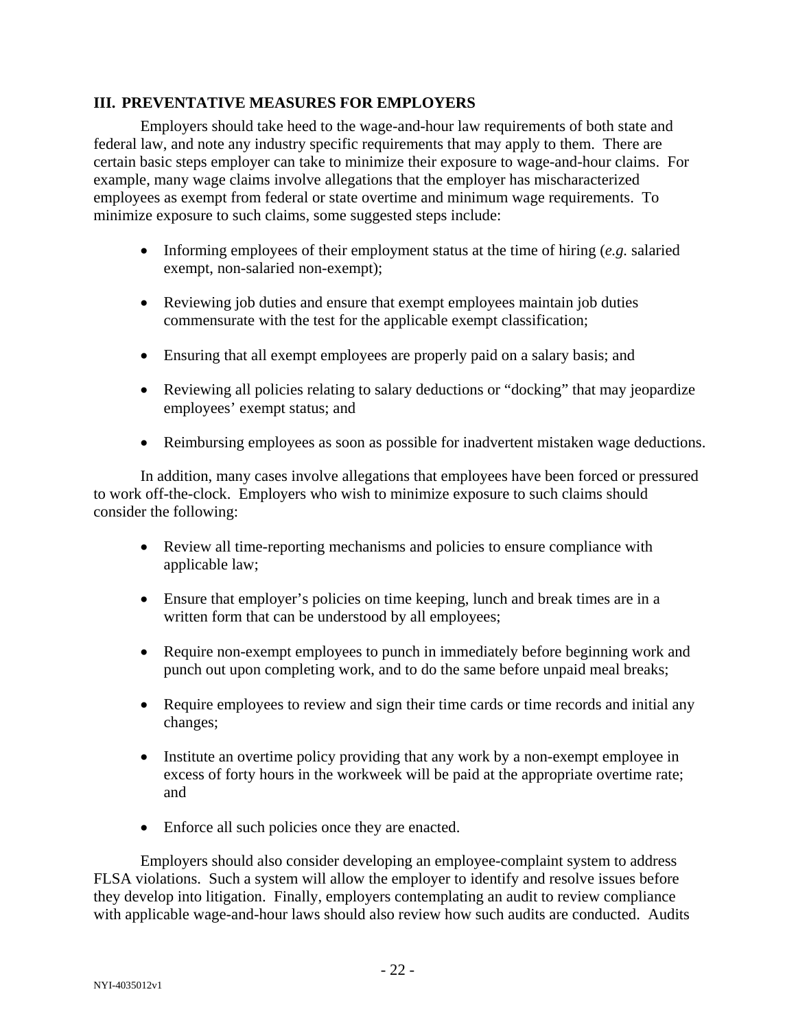### **III. PREVENTATIVE MEASURES FOR EMPLOYERS**

Employers should take heed to the wage-and-hour law requirements of both state and federal law, and note any industry specific requirements that may apply to them. There are certain basic steps employer can take to minimize their exposure to wage-and-hour claims. For example, many wage claims involve allegations that the employer has mischaracterized employees as exempt from federal or state overtime and minimum wage requirements. To minimize exposure to such claims, some suggested steps include:

- Informing employees of their employment status at the time of hiring (*e.g.* salaried exempt, non-salaried non-exempt);
- Reviewing job duties and ensure that exempt employees maintain job duties commensurate with the test for the applicable exempt classification;
- Ensuring that all exempt employees are properly paid on a salary basis; and
- Reviewing all policies relating to salary deductions or "docking" that may jeopardize employees' exempt status; and
- Reimbursing employees as soon as possible for inadvertent mistaken wage deductions.

In addition, many cases involve allegations that employees have been forced or pressured to work off-the-clock. Employers who wish to minimize exposure to such claims should consider the following:

- Review all time-reporting mechanisms and policies to ensure compliance with applicable law;
- Ensure that employer's policies on time keeping, lunch and break times are in a written form that can be understood by all employees;
- Require non-exempt employees to punch in immediately before beginning work and punch out upon completing work, and to do the same before unpaid meal breaks;
- Require employees to review and sign their time cards or time records and initial any changes;
- Institute an overtime policy providing that any work by a non-exempt employee in excess of forty hours in the workweek will be paid at the appropriate overtime rate; and
- Enforce all such policies once they are enacted.

Employers should also consider developing an employee-complaint system to address FLSA violations. Such a system will allow the employer to identify and resolve issues before they develop into litigation. Finally, employers contemplating an audit to review compliance with applicable wage-and-hour laws should also review how such audits are conducted. Audits